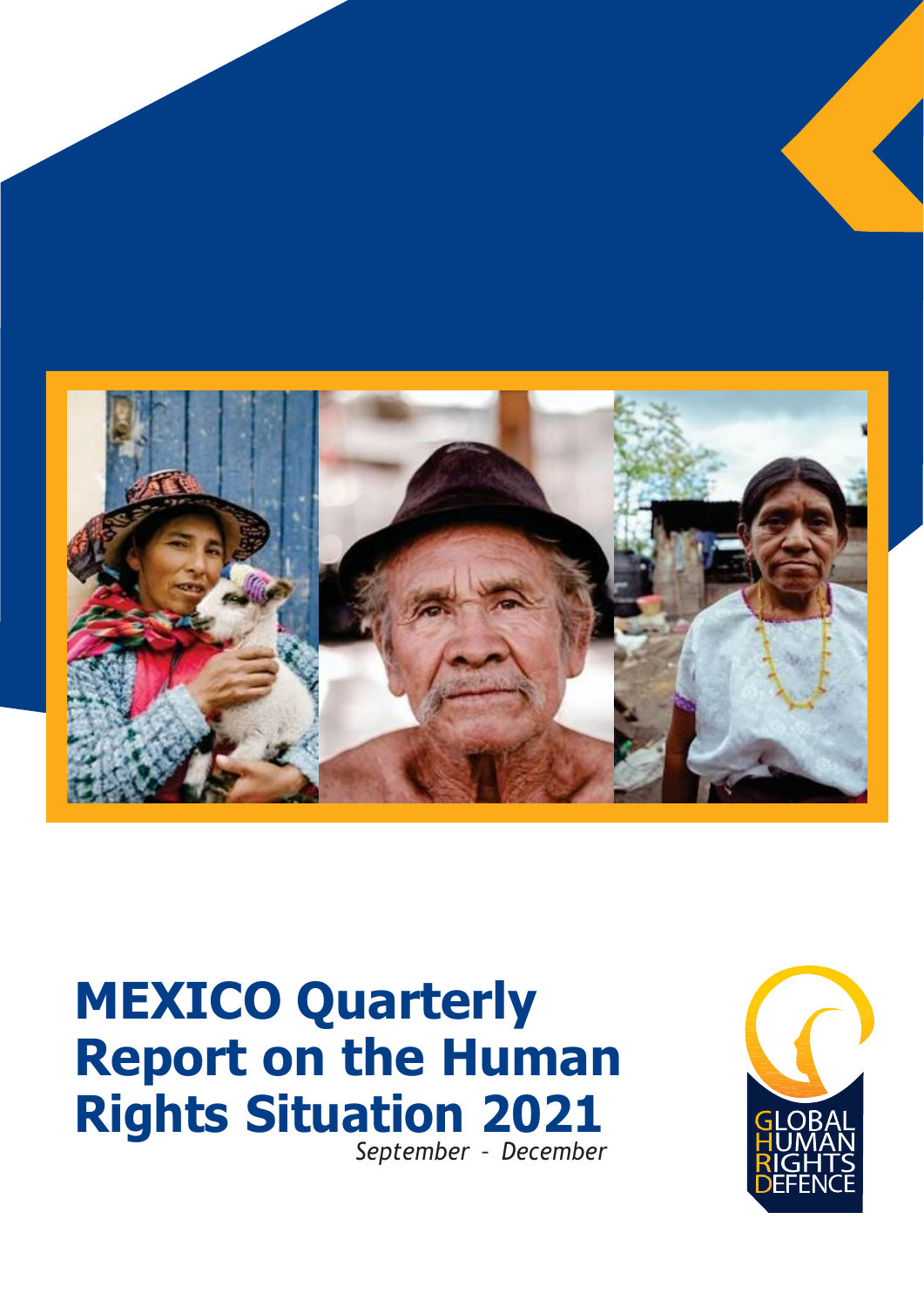

# **MEXICO Quarterly Report on the Human Rights Situation 2021** *September – December*

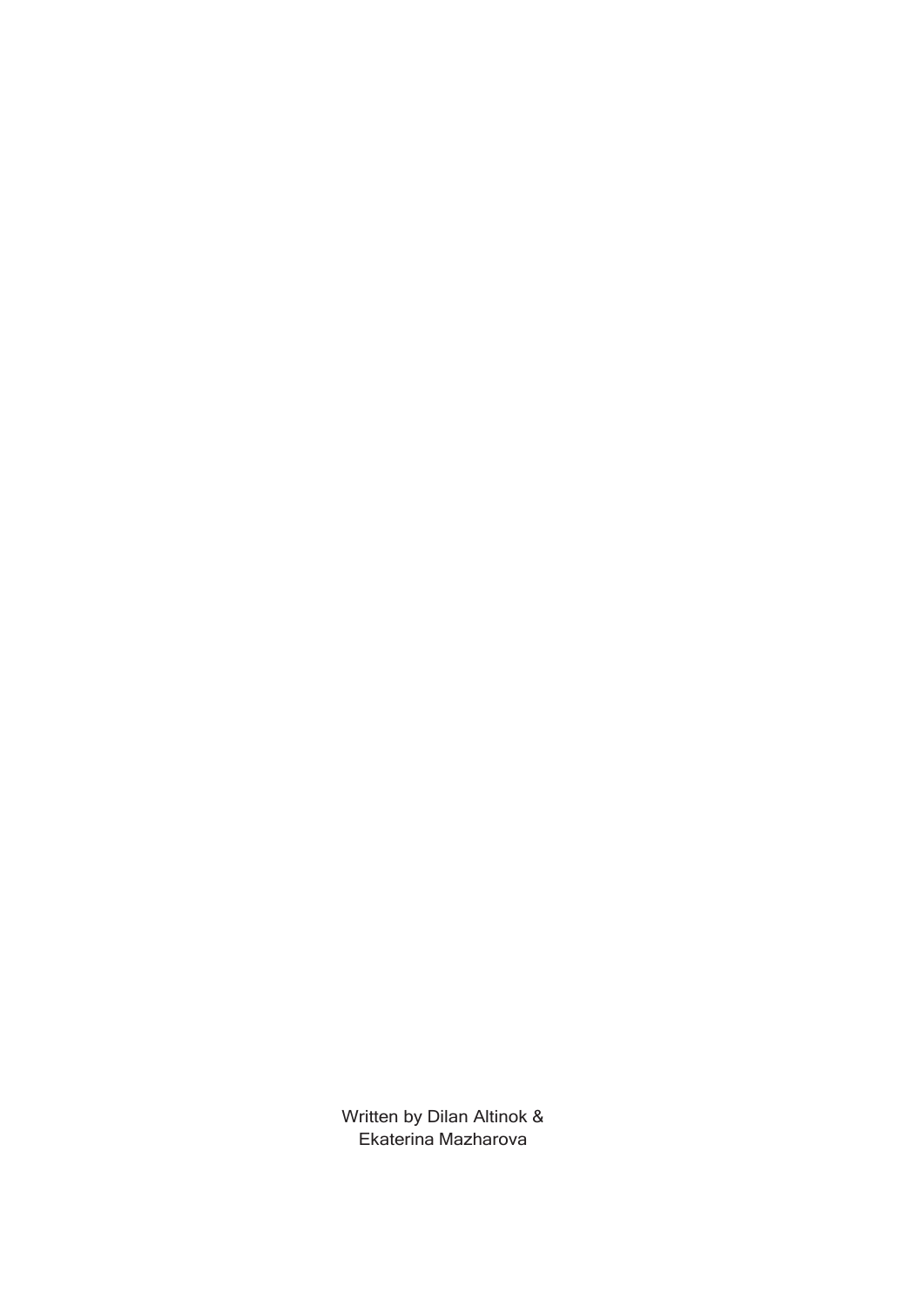Written by Dilan Altinok & Ekaterina Mazharova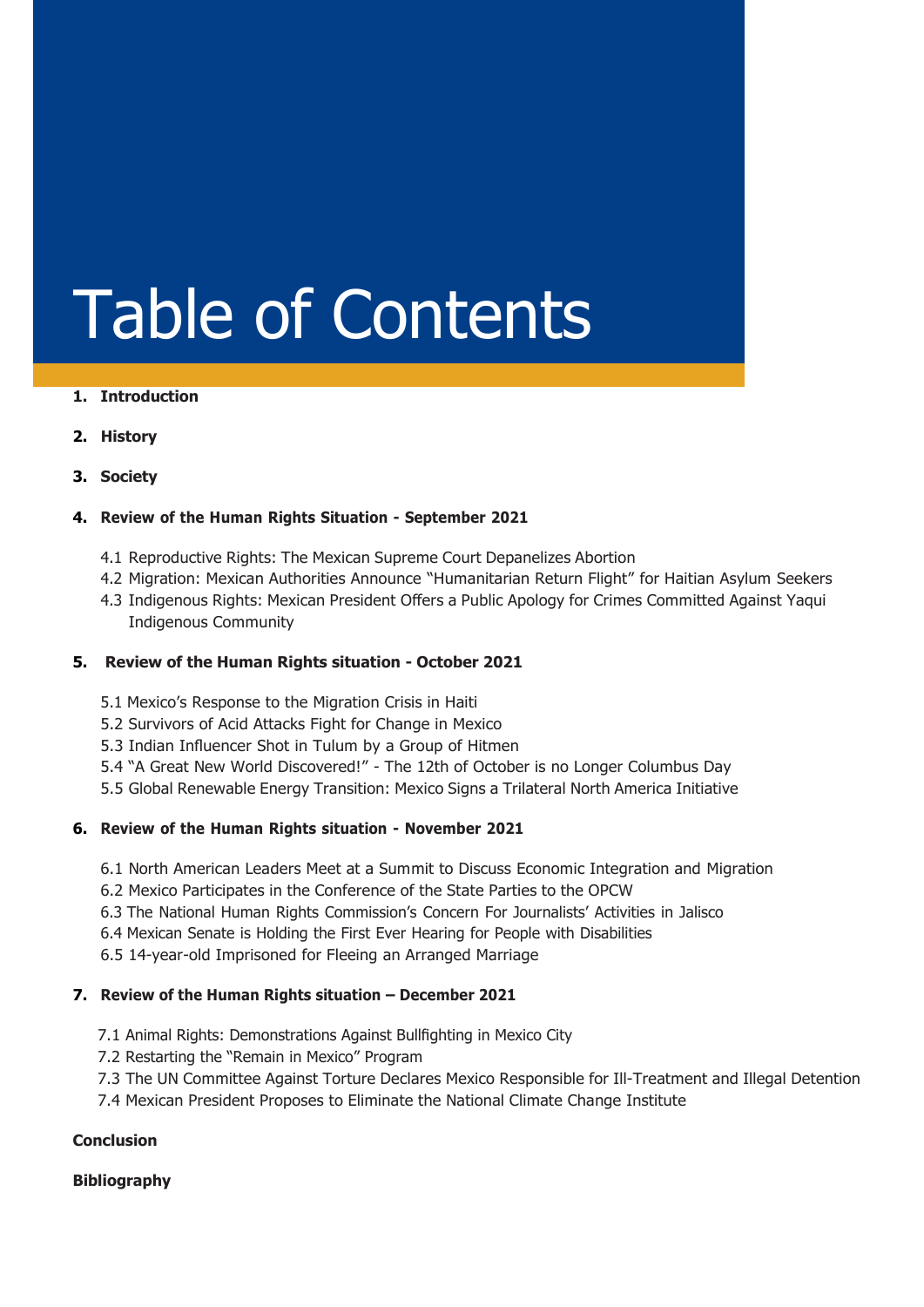# Table of Contents

#### **1. Introduction**

**2. History**

#### **3. Society**

#### **4. Review of the Human Rights Situation - September 2021**

- 4.1 Reproductive Rights: The Mexican Supreme Court Depanelizes Abortion
- 4.2 Migration: Mexican Authorities Announce "Humanitarian Return Flight" for Haitian Asylum Seekers
- 4.3 Indigenous Rights: Mexican President Offers a Public Apology for Crimes Committed Against Yaqui Indigenous Community

#### **5. Review of the Human Rights situation - October 2021**

- 5.1 Mexico's Response to the Migration Crisis in Haiti
- 5.2 Survivors of Acid Attacks Fight for Change in Mexico
- 5.3 Indian Influencer Shot in Tulum by a Group of Hitmen
- 5.4 "A Great New World Discovered!" The 12th of October is no Longer Columbus Day
- 5.5 Global Renewable Energy Transition: Mexico Signs a Trilateral North America Initiative

#### **6. Review of the Human Rights situation - November 2021**

- 6.1 North American Leaders Meet at a Summit to Discuss Economic Integration and Migration
- 6.2 Mexico Participates in the Conference of the State Parties to the OPCW
- 6.3 The National Human Rights Commission's Concern For Journalists' Activities in Jalisco
- 6.4 Mexican Senate is Holding the First Ever Hearing for People with Disabilities

6.5 14-year-old Imprisoned for Fleeing an Arranged Marriage

#### **7. Review of the Human Rights situation – December 2021**

- 7.1 Animal Rights: Demonstrations Against Bullfighting in Mexico City
- 7.2 Restarting the "Remain in Mexico" Program
- 7.3 The UN Committee Against Torture Declares Mexico Responsible for Ill-Treatment and Illegal Detention
- 7.4 Mexican President Proposes to Eliminate the National Climate Change Institute

#### **Conclusion**

#### **Bibliography**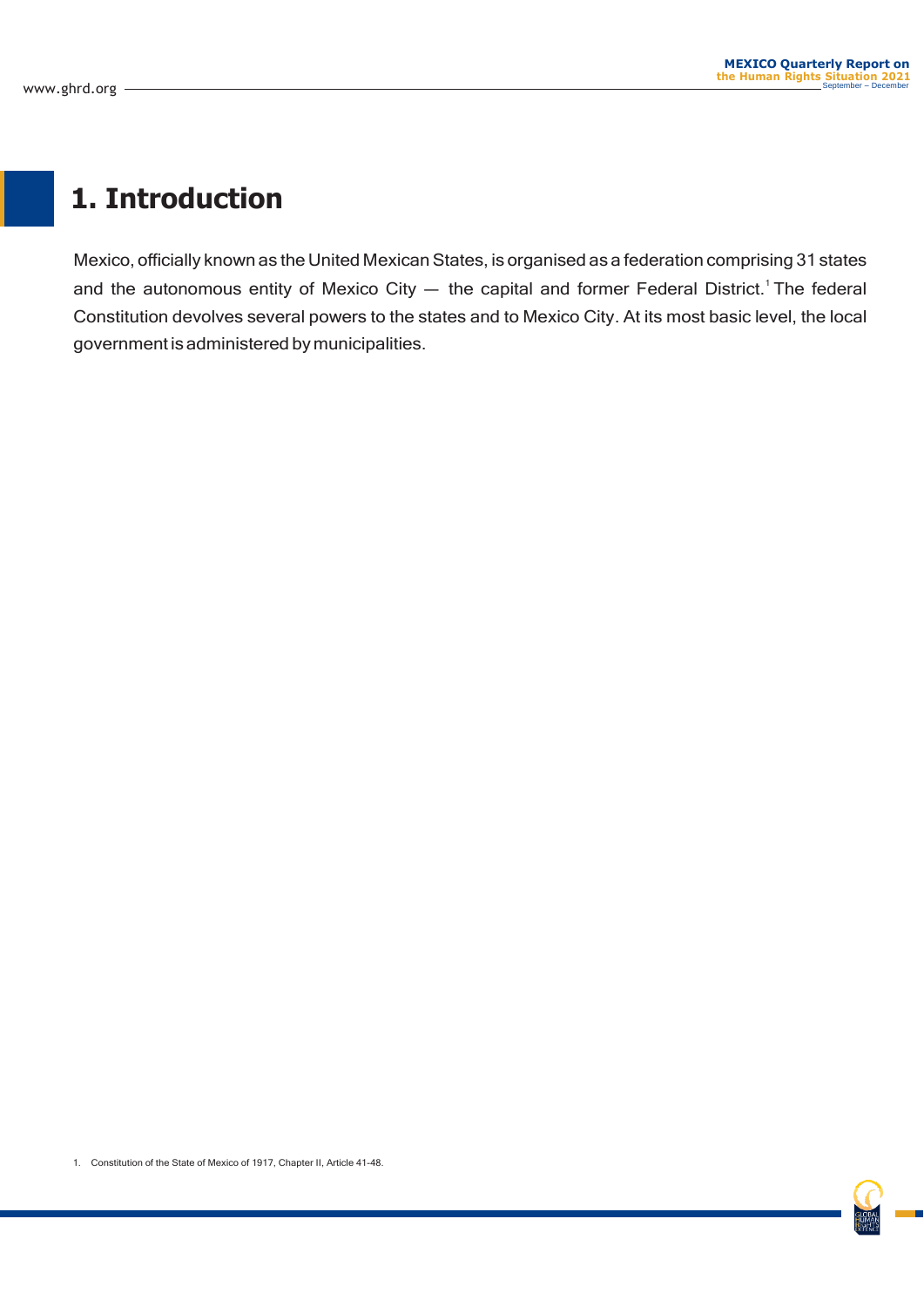### **1. Introduction**

Mexico, officially known as the United Mexican States, is organised as a federation comprising 31 states and the autonomous entity of Mexico City  $-$  the capital and former Federal District.<sup>1</sup> The federal Constitution devolves several powers to the states and to Mexico City. At its most basic level, the local government is administered by municipalities.

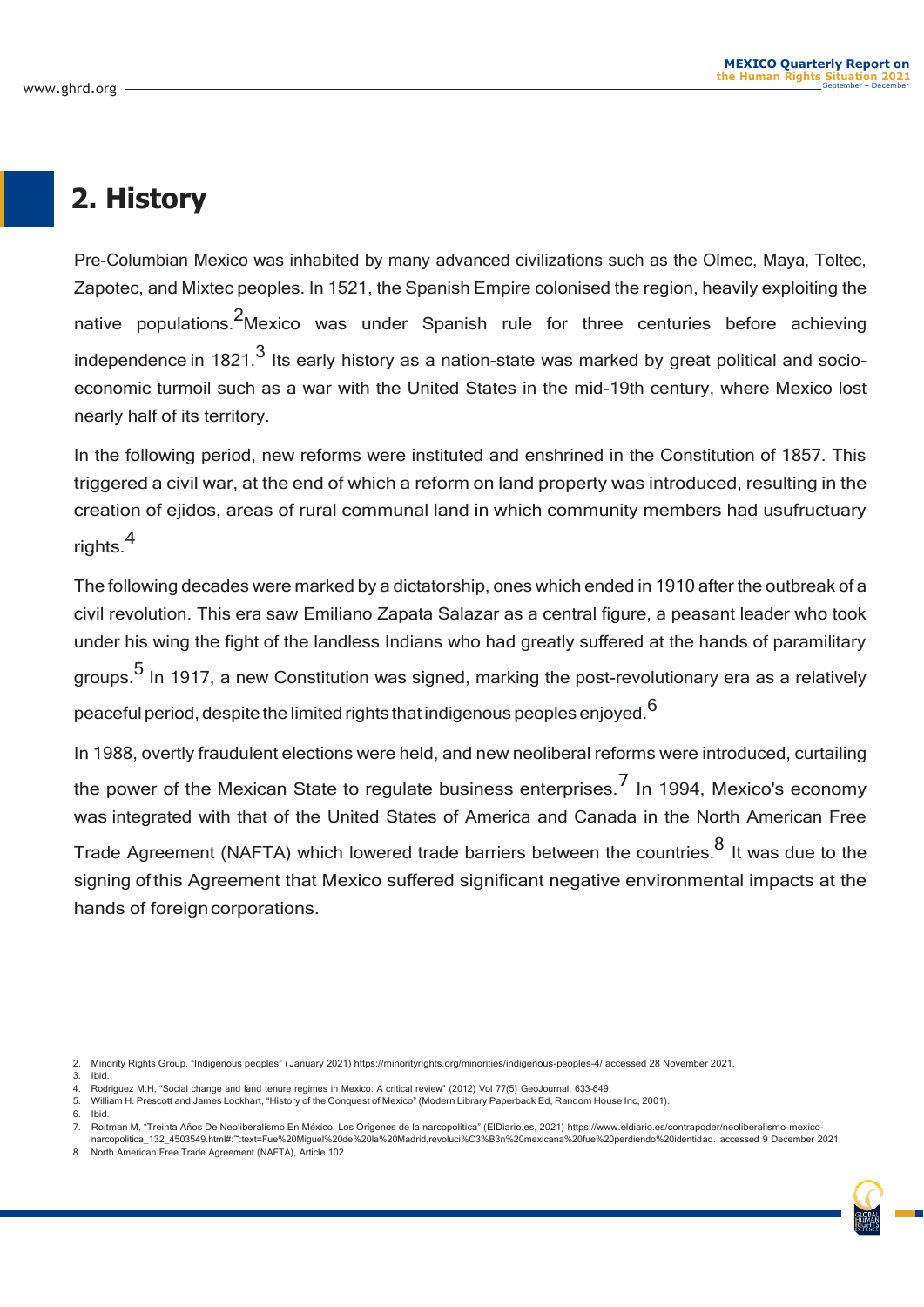### **2. History**

Pre-Columbian Mexico was inhabited by many advanced civilizations such as the Olmec, Maya, Toltec, Zapotec, and Mixtec peoples. In 1521, the Spanish Empire colonised the region, heavily exploiting the native populations.<sup>2</sup>Mexico was under Spanish rule for three centuries before achieving independence in  $1821<sup>3</sup>$  Its early history as a nation-state was marked by great political and socioeconomic turmoil such as a war with the United States in the mid-19th century, where Mexico lost nearly half of its territory.

In the following period, new reforms were instituted and enshrined in the Constitution of 1857. This triggered a civil war, at the end of which a reform on land property was introduced, resulting in the creation of ejidos, areas of rural communal land in which community members had usufructuary rights.<sup>4</sup>

The following decades were marked by a dictatorship, ones which ended in 1910 after the outbreak of a civil revolution. This era saw Emiliano Zapata Salazar as a central figure, a peasant leader who took under his wing the fight of the landless Indians who had greatly suffered at the hands of paramilitary groups.<sup>5</sup> In 1917, a new Constitution was signed, marking the post-revolutionary era as a relatively peaceful period, despite the limited rights that indigenous peoples enjoyed.<sup>6</sup>

In 1988, overtly fraudulent elections were held, and new neoliberal reforms were introduced, curtailing the power of the Mexican State to regulate business enterprises.<sup>7</sup> In 1994, Mexico's economy was integrated with that of the United States of America and Canada in the North American Free

Trade Agreement (NAFTA) which lowered trade barriers between the countries.<sup>8</sup> It was due to the signing of this Agreement that Mexico suffered significant negative environmental impacts at the hands of foreign corporations.

- 2. Minority Rights Group, "Indigenous peoples" (January 2021) https://minorityrights.org/minorities/indigenous-peoples-4/ accessed 28 November 2021.
- 3. Ibid.
- 4. Rodriguez M.H, "Social change and land tenure regimes in Mexico: A critical review" (2012) Vol 77(5) GeoJournal, 633–649.
- 5. William H. Prescott and James Lockhart, "History of the Conquest of Mexico" (Modern Library Paperback Ed, Random House Inc, 2001). 6. Ibid.
- 7. Roitman M, "Treinta Años De Neoliberalismo En México: Los Orígenes de la narcopolítica" (ElDiario.es, 2021) [https://www.eldiario.es/contrapoder/neoliberalismo-mex](http://www.eldiario.es/contrapoder/neoliberalismo-mexico-)iconarcopolitica 132 4503549.html#:~:text=Fue%20Miguel%20de%20la%20Madrid,revoluci%C3%B3n%20mexicana%20fue%20perdiendo%20identidad. accessed 9 December 2021.
- 8. North American Free Trade Agreement (NAFTA), Article 102.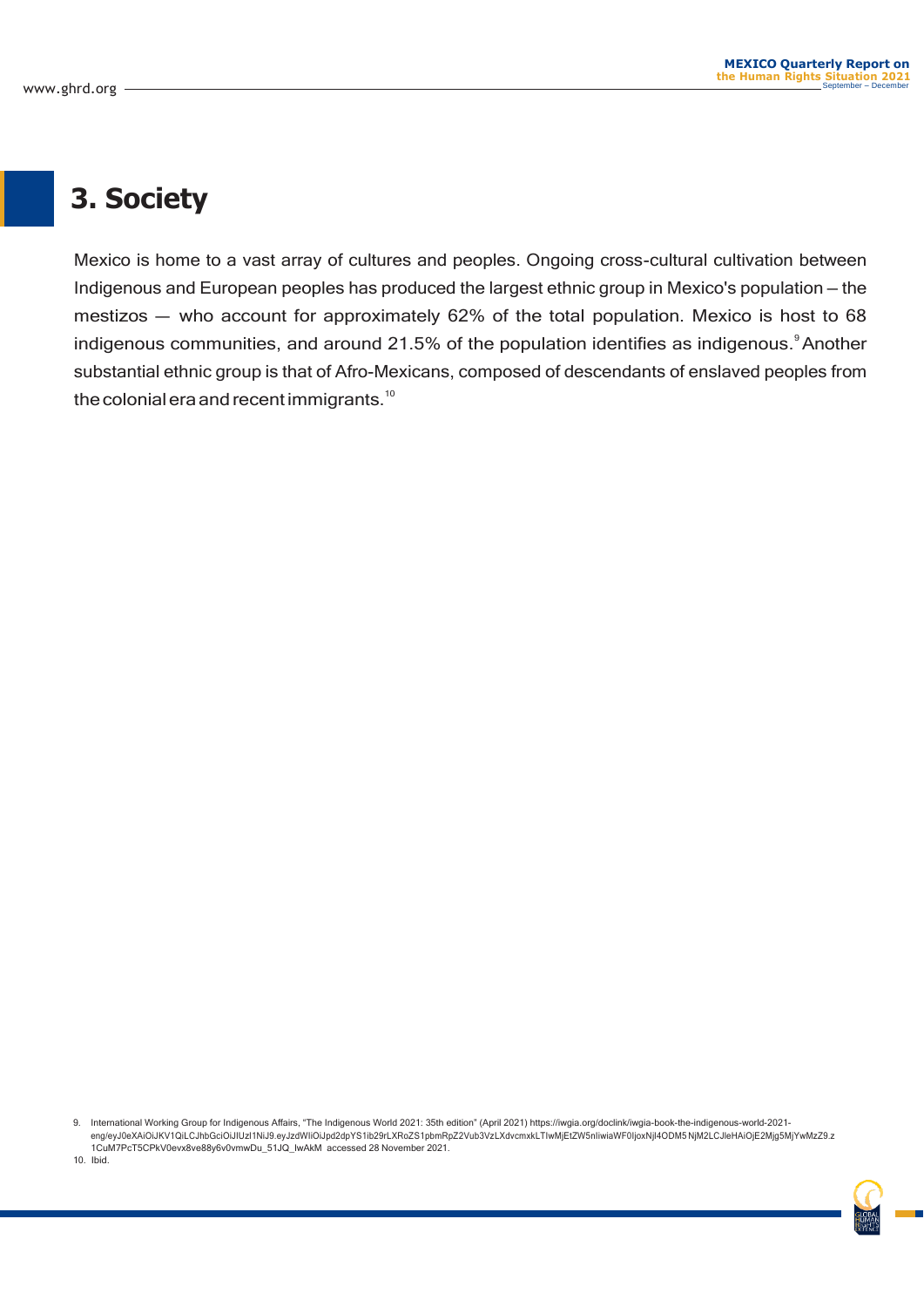### **3. Society**

Mexico is home to a vast array of cultures and peoples. Ongoing cross-cultural cultivation between Indigenous and European peoples has produced the largest ethnic group in Mexico's population — the mestizos — who account for approximately 62% of the total population. Mexico is host to 68 indigenous communities, and around 21.5% of the population identifies as indigenous. $^{\circ}$ Another substantial ethnic group is that of Afro-Mexicans, composed of descendants of enslaved peoples from the colonial era and recent immigrants.<sup>10</sup>

9. International Working Group for Indigenous Affairs, "The Indigenous World 2021: 35th edition" (April 2021) https://iwgia.org/doclink/iwgia-book-the-indigenous-world-2021 eng/eyJ0eXAiOiJKV1QiLCJhbGciOiJIUzI1NiJ9.eyJzdWIiOiJpd2dpYS1ib29rLXRoZS1pbmRpZ2Vub3VzLXdvcmxkLTIwMjEtZW5nIiwiaWF0IjoxNjI4ODM5 NjM2LCJleHAiOjE2Mjg5MjYwMzZ9.z 1CuM7PcT5CPkV0evx8ve88y6v0vmwDu\_51JQ\_lwAkM accessed 28 November 2021.

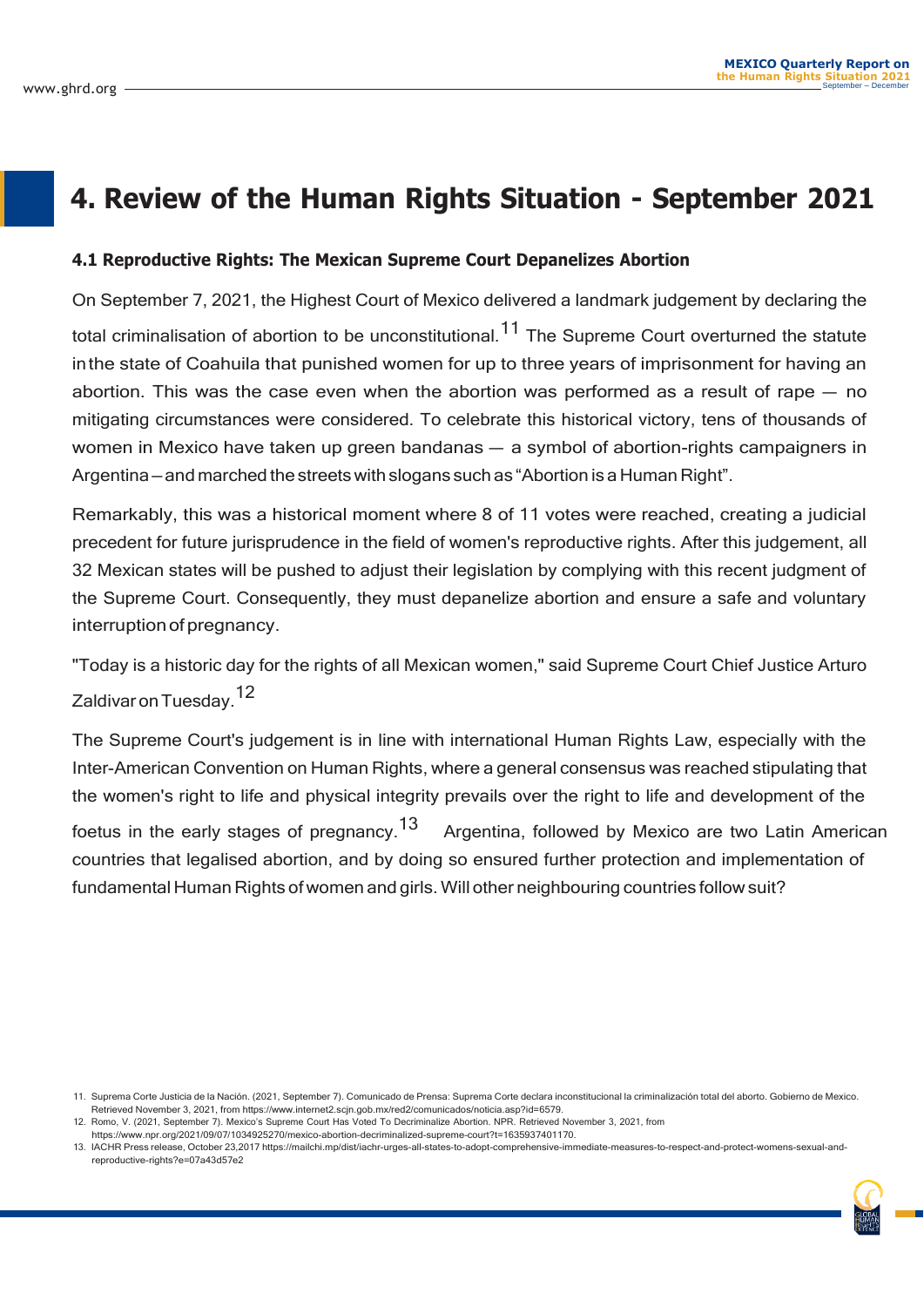### **4. Review of the Human Rights Situation - September 2021**

#### **4.1 Reproductive Rights: The Mexican Supreme Court Depanelizes Abortion**

On September 7, 2021, the Highest Court of Mexico delivered a landmark judgement by declaring the total criminalisation of abortion to be unconstitutional.<sup>11</sup> The Supreme Court overturned the statute inthe state of Coahuila that punished women for up to three years of imprisonment for having an abortion. This was the case even when the abortion was performed as a result of rape — no mitigating circumstances were considered. To celebrate this historical victory, tens of thousands of women in Mexico have taken up green bandanas — a symbol of abortion-rights campaigners in Argentina— and marched the streetswith slogans such as "Abortion is a Human Right".

Remarkably, this was a historical moment where 8 of 11 votes were reached, creating a judicial precedent for future jurisprudence in the field of women's reproductive rights. After this judgement, all 32 Mexican states will be pushed to adjust their legislation by complying with this recent judgment of the Supreme Court. Consequently, they must depanelize abortion and ensure a safe and voluntary interruption of pregnancy.

"Today is a historic day for the rights of all Mexican women," said Supreme Court Chief Justice Arturo Zaldivar on Tuesday.<sup>12</sup>

The Supreme Court's judgement is in line with international Human Rights Law, especially with the Inter-American Convention on Human Rights, where a general consensus was reached stipulating that the women's right to life and physical integrity prevails over the right to life and development of the foetus in the early stages of pregnancy.<sup>13</sup> Argentina, followed by Mexico are two Latin American countries that legalised abortion, and by doing so ensured further protection and implementation of fundamental Human Rights of women and girls. Will other neighbouring countries follow suit?

[https://www.n](http://www.npr.org/2021/09/07/1034925270/mexico-abortion-decriminalized-supreme-court?t=1635937401170)pr.o[rg/2021/09/07/1034925270/mexico-abortion-decriminalized-supreme-court?t=1635937401170.](http://www.npr.org/2021/09/07/1034925270/mexico-abortion-decriminalized-supreme-court?t=1635937401170)

<sup>11.</sup> Suprema Corte Justicia de la Nación. (2021, September 7). Comunicado de Prensa: Suprema Corte declara inconstitucional la criminalización total del aborto. Gobierno de Mexico. Retrieved November 3, 2021, from [https://www.internet2.scjn.gob.mx/red2/comunicados/noticia.asp?id=6579.](http://www.internet2.scjn.gob.mx/red2/comunicados/noticia.asp?id=6579)

<sup>12.</sup> Romo, V. (2021, September 7). Mexico's Supreme Court Has Voted To Decriminalize Abortion. NPR. Retrieved November 3, 2021, from

<sup>13.</sup> IACHR Press release, October 23,2017 https://mailchi.mp/dist/iachr-urges-all-states-to-adopt-comprehensive-immediate-measures-to-respect-and-protect-womens-sexual-andreproductive-rights?e=07a43d57e2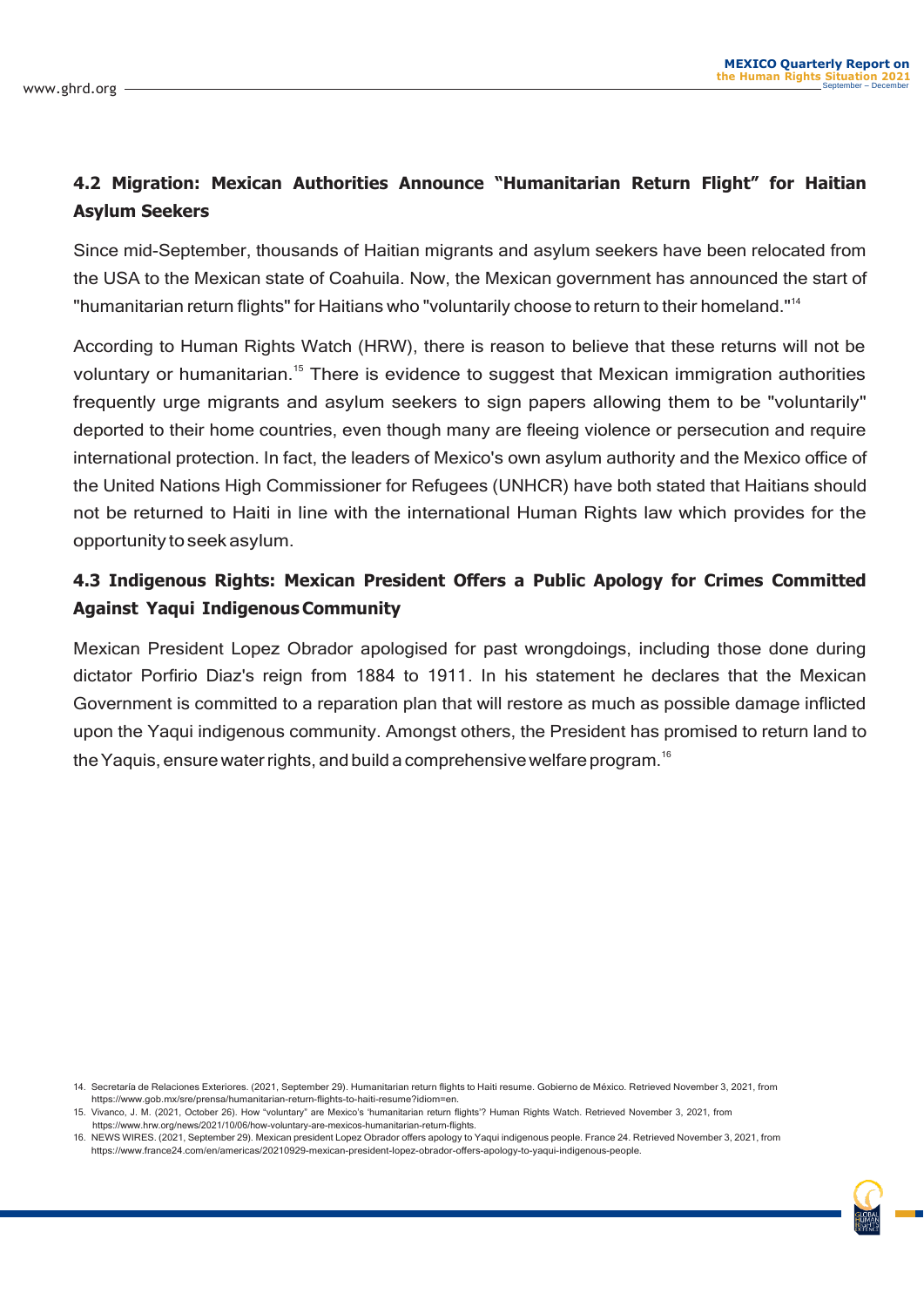#### **4.2 Migration: Mexican Authorities Announce "Humanitarian Return Flight" for Haitian Asylum Seekers**

Since mid-September, thousands of Haitian migrants and asylum seekers have been relocated from the USA to the Mexican state of Coahuila. Now, the Mexican government has announced the start of "humanitarian return flights" for Haitians who "voluntarily choose to return to their homeland."<sup>14</sup>

According to Human Rights Watch (HRW), there is reason to believe that these returns will not be voluntary or humanitarian.<sup>15</sup> There is evidence to suggest that Mexican immigration authorities frequently urge migrants and asylum seekers to sign papers allowing them to be "voluntarily" deported to their home countries, even though many are fleeing violence or persecution and require international protection. In fact, the leaders of Mexico's own asylum authority and the Mexico office of the United Nations High Commissioner for Refugees (UNHCR) have both stated that Haitians should not be returned to Haiti in line with the international Human Rights law which provides for the opportunity to seek asylum.

#### **4.3 Indigenous Rights: Mexican President Offers a Public Apology for Crimes Committed Against Yaqui IndigenousCommunity**

Mexican President Lopez Obrador apologised for past wrongdoings, including those done during dictator Porfirio Diaz's reign from 1884 to 1911. In his statement he declares that the Mexican Government is committed to a reparation plan that will restore as much as possible damage inflicted upon the Yaqui indigenous community. Amongst others, the President has promised to return land to the Yaquis, ensure water rights, and build a comprehensive welfare program.<sup>16</sup>

<sup>14.</sup> Secretaría de Relaciones Exteriores. (2021, September 29). Humanitarian return flights to Haiti resume. Gobierno de México. Retrieved November 3, 2021, from [https://www.gob.mx/sre](http://www.gob.mx/sre/prensa/humanitarian-return-ﬂights-to-haiti-resume?idiom=en)/prensa/humanitarian-return-fl[ights-to-haiti-resume?idiom=en.](http://www.gob.mx/sre/prensa/humanitarian-return-ﬂights-to-haiti-resume?idiom=en)

<sup>15.</sup> Vivanco, J. M. (2021, October 26). How "voluntary" are Mexico's 'humanitarian return flights'? Human Rights Watch. Retrieved November 3, 2021, from [https://www.h](http://www.hrw.org/news/2021/10/06/how-voluntary-are-mexicos-humanitarian-return-ﬂights)rw.[org/news/2021/10/06/how-voluntary-are-mexicos-humanitarian-return-](http://www.hrw.org/news/2021/10/06/how-voluntary-are-mexicos-humanitarian-return-ﬂights)flights.

<sup>16.</sup> NEWS WIRES. (2021, September 29). Mexican president Lopez Obrador offers apology to Yaqui indigenous people. France 24. Retrieved November 3, 2021, from [https://www.france24.com/en/americas/20210929-mexican-president-lopez](http://www.france24.com/en/americas/20210929-mexican-president-lopez-obrador-oﬀers-apology-to-yaqui-indigenous-people)-obrador-offers[-apology-to-yaqui-indigenous-people.](http://www.france24.com/en/americas/20210929-mexican-president-lopez-obrador-oﬀers-apology-to-yaqui-indigenous-people)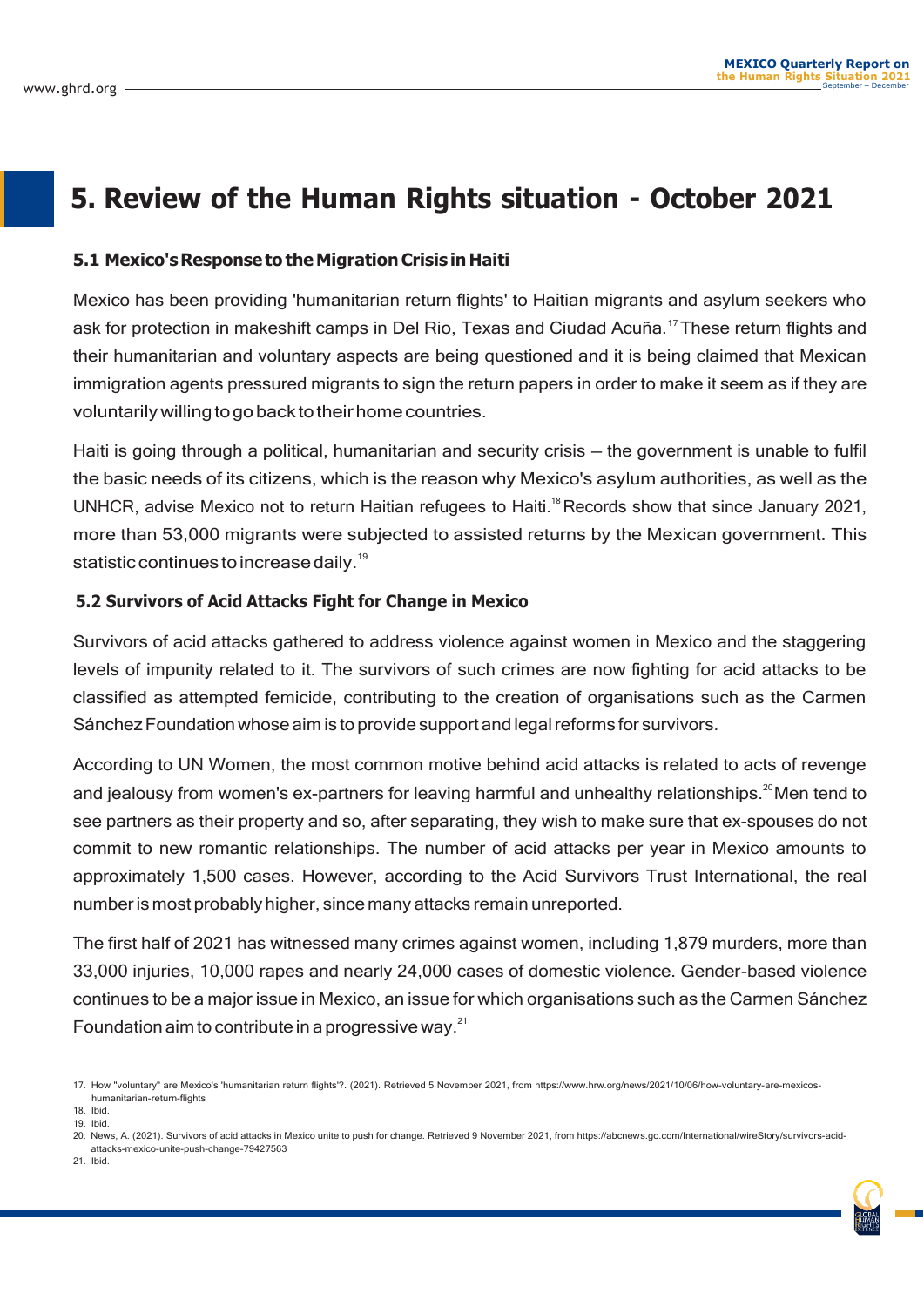### **5. Review of the Human Rights situation - October 2021**

#### **5.1 Mexico'sResponse to the MigrationCrisis in Haiti**

Mexico has been providing 'humanitarian return flights' to Haitian migrants and asylum seekers who ask for protection in makeshift camps in Del Rio, Texas and Ciudad Acuña.<sup>17</sup>These return flights and their humanitarian and voluntary aspects are being questioned and it is being claimed that Mexican immigration agents pressured migrants to sign the return papers in order to make it seem as if they are voluntarily willing to go back to their home countries.

Haiti is going through a political, humanitarian and security crisis — the government is unable to fulfil the basic needs of its citizens, which is the reason why Mexico's asylum authorities, as well as the UNHCR, advise Mexico not to return Haitian refugees to Haiti.<sup>18</sup> Records show that since January 2021, more than 53,000 migrants were subjected to assisted returns by the Mexican government. This statistic continues to increase daily.<sup>19</sup>

#### **5.2 Survivors of Acid Attacks Fight for Change in Mexico**

Survivors of acid attacks gathered to address violence against women in Mexico and the staggering levels of impunity related to it. The survivors of such crimes are now fighting for acid attacks to be classified as attempted femicide, contributing to the creation of organisations such as the Carmen Sánchez Foundation whose aim is to provide support and legal reforms for survivors.

According to UN Women, the most common motive behind acid attacks is related to acts of revenge and jealousy from women's ex-partners for leaving harmful and unhealthy relationships.<sup>20</sup>Men tend to see partners as their property and so, after separating, they wish to make sure that ex-spouses do not commit to new romantic relationships. The number of acid attacks per year in Mexico amounts to approximately 1,500 cases. However, according to the Acid Survivors Trust International, the real number is most probably higher, since many attacks remain unreported.

The first half of 2021 has witnessed many crimes against women, including 1,879 murders, more than 33,000 injuries, 10,000 rapes and nearly 24,000 cases of domestic violence. Gender-based violence continues to be a major issue in Mexico, an issue for which organisations such as the Carmen Sánchez Foundation aim to contribute in a progressive way. $^{21}$ 

18. Ibid.

21. Ibid.

<sup>17.</sup> How "voluntary" are Mexico's 'humanitarian return flights'?. (2021). Retrieved 5 November 2021, from [https://www.h](http://www.hrw.org/news/2021/10/06/how-voluntary-are-mexicos-)rw.[org/news/2021/10/06/how-voluntary-are-mexicos](http://www.hrw.org/news/2021/10/06/how-voluntary-are-mexicos-)humanitarian-return-flights

<sup>19.</sup> Ibid.

<sup>20.</sup> News, A. (2021). Survivors of acid attacks in Mexico unite to push for change. Retrieved 9 November 2021, from https://abcnews.go.com/International/wireStory/survivors-acidattacks-mexico-unite-push-change-79427563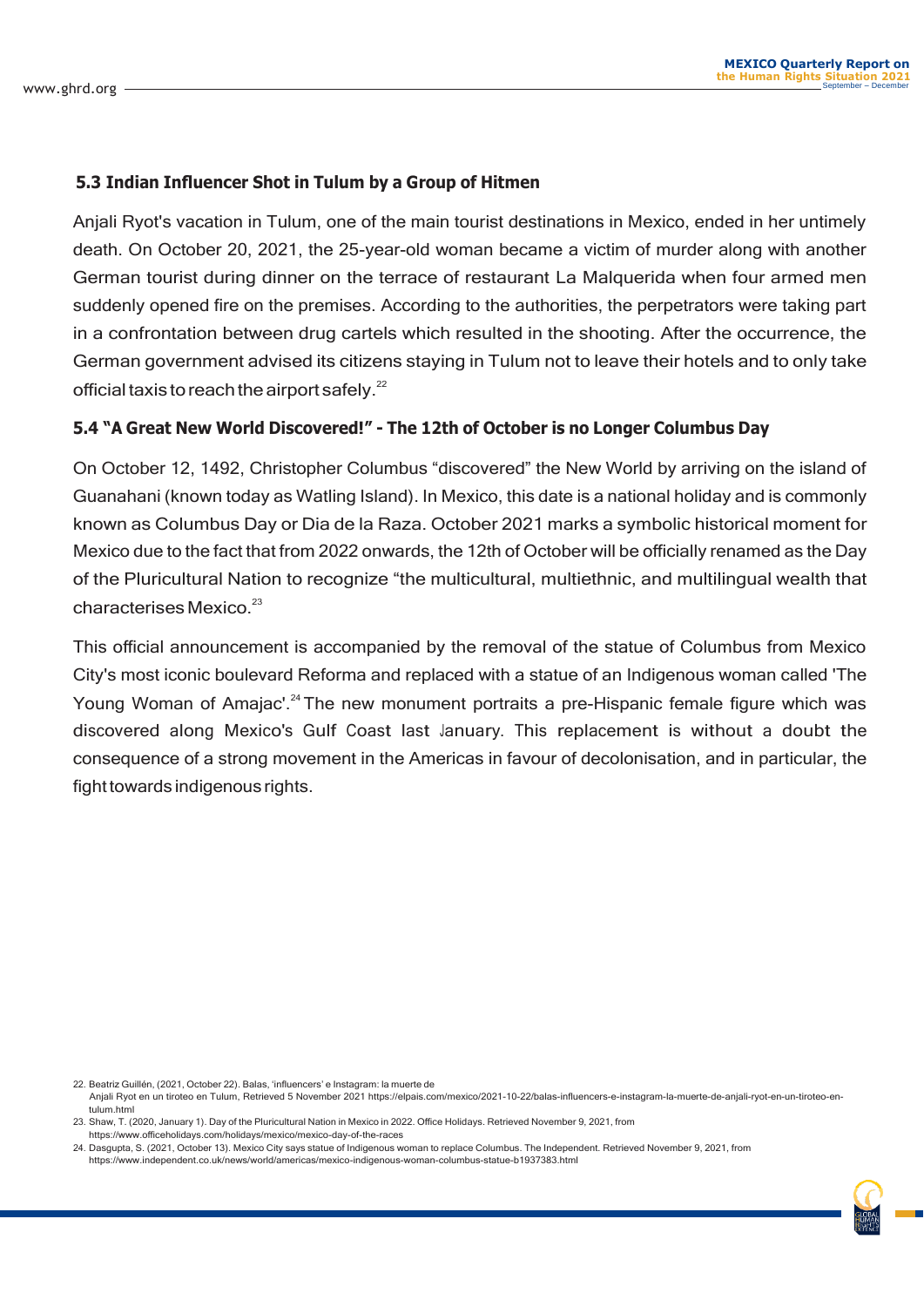#### **5.3 Indian Influencer Shot in Tulum by a Group of Hitmen**

Anjali Ryot's vacation in Tulum, one of the main tourist destinations in Mexico, ended in her untimely death. On October 20, 2021, the 25-year-old woman became a victim of murder along with another German tourist during dinner on the terrace of restaurant La Malquerida when four armed men suddenly opened fire on the premises. According to the authorities, the perpetrators were taking part in a confrontation between drug cartels which resulted in the shooting. After the occurrence, the German government advised its citizens staying in Tulum not to leave their hotels and to only take official taxis to reach the airport safely.<sup>22</sup>

#### **5.4 "A Great New World Discovered!" - The 12th of October is no Longer Columbus Day**

On October 12, 1492, Christopher Columbus "discovered" the New World by arriving on the island of Guanahani (known today as Watling Island). In Mexico, this date is a national holiday and is commonly known as Columbus Day or Dia de la Raza. October 2021 marks a symbolic historical moment for Mexico due to the fact that from 2022 onwards, the 12th of October will be officially renamed as the Day of the Pluricultural Nation to recognize "the multicultural, multiethnic, and multilingual wealth that characterises Mexico.<sup>23</sup>

This official announcement is accompanied by the removal of the statue of Columbus from Mexico City's most iconic boulevard Reforma and replaced with a statue of an Indigenous woman called 'The Young Woman of Amajac'.<sup>24</sup> The new monument portraits a pre-Hispanic female figure which was discovered along Mexico's Gulf Coast last January. This replacement is without a doubt the consequence of a strong movement in the Americas in favour of decolonisation, and in particular, the fight towards indigenous rights.

<sup>22.</sup> Beatriz Guillén, (2021, October 22). Balas, 'influencers' e Instagram: la muerte de Anjali Ryot en un tiroteo en Tulum, Retrieved 5 November 2021 https://elpais.com/mexico/2021-10-22/balas-influencers-e-instagram-la-muerte-de-anjali-ryot-en-un-tiroteo-entulum.html

<sup>23.</sup> Shaw, T. (2020, January 1). Day of the Pluricultural Nation in Mexico in 2022. Office Holidays. Retrieved November 9, 2021, from https://www.officeholidays.com/holidays/mexico/mexico-day-of-the-races

<sup>24.</sup> Dasgupta, S. (2021, October 13). Mexico City says statue of Indigenous woman to replace Columbus. The Independent. Retrieved November 9, 2021, from [https://www.independent.co.uk/news/world/americas/mexico-indigenous-woman-columbus-statue-b1937383.html](http://www.independent.co.uk/news/world/americas/mexico-indigenous-woman-columbus-statue-b1937383.html)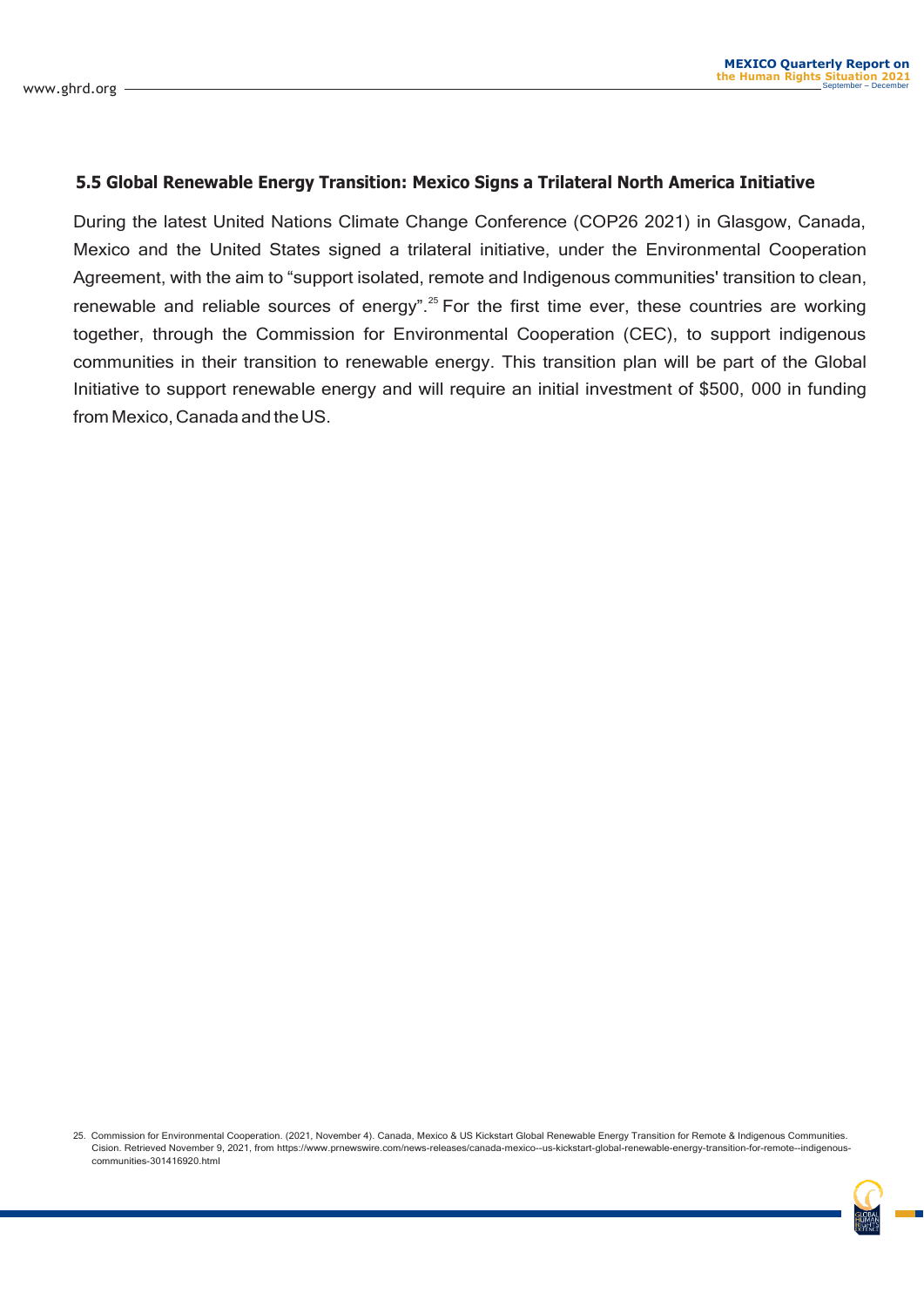#### **5.5 Global Renewable Energy Transition: Mexico Signs a Trilateral North America Initiative**

During the latest United Nations Climate Change Conference (COP26 2021) in Glasgow, Canada, Mexico and the United States signed a trilateral initiative, under the Environmental Cooperation Agreement, with the aim to "support isolated, remote and Indigenous communities' transition to clean, renewable and reliable sources of energy".<sup>25</sup> For the first time ever, these countries are working together, through the Commission for Environmental Cooperation (CEC), to support indigenous communities in their transition to renewable energy. This transition plan will be part of the Global Initiative to support renewable energy and will require an initial investment of \$500, 000 in funding from Mexico, Canada and the US.

<sup>25.</sup> Commission for Environmental Cooperation. (2021, November 4). Canada, Mexico & US Kickstart Global Renewable Energy Transition for Remote & Indigenous Communities. Cision. Retrieved November 9, 2021, from [https://www.](http://www.prnewswire.com/news-releases/canada-mexico--us-kickstart-global-renewable-energy-transition-for-remote--indigenous-)prn[ewswire.com/news-releases/canada-mexico--us-kickstart-global-re](http://www.prnewswire.com/news-releases/canada-mexico--us-kickstart-global-renewable-energy-transition-for-remote--indigenous-)n[ewable-energy-transition-for-remote--indigenous](http://www.prnewswire.com/news-releases/canada-mexico--us-kickstart-global-renewable-energy-transition-for-remote--indigenous-)communities-301416920.html

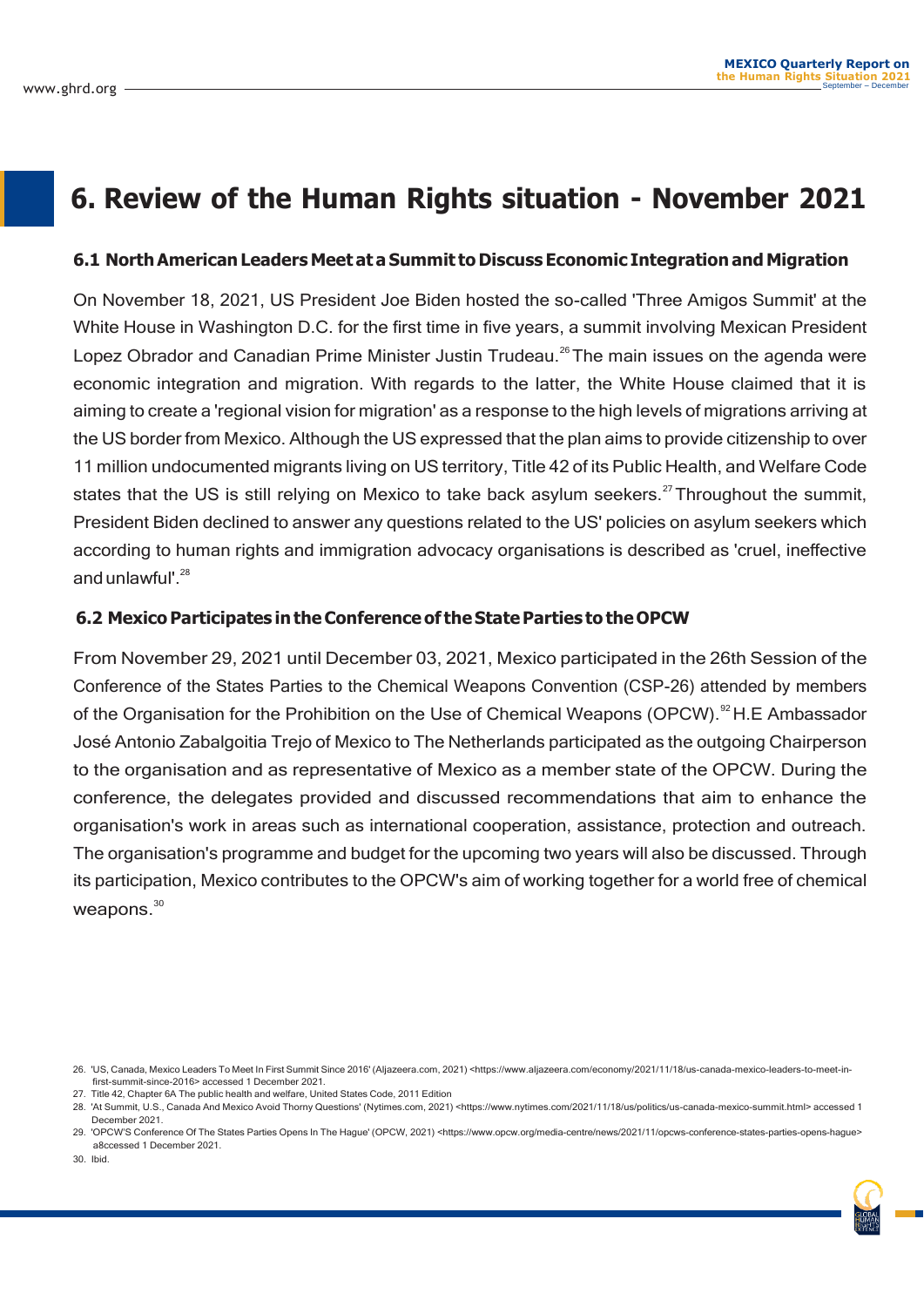### **6. Review of the Human Rights situation - November 2021**

#### **6.1 NorthAmerican Leaders Meet at a Summit to Discuss Economic Integrationand Migration**

On November 18, 2021, US President Joe Biden hosted the so-called 'Three Amigos Summit' at the White House in Washington D.C. for the first time in five years, a summit involving Mexican President Lopez Obrador and Canadian Prime Minister Justin Trudeau.<sup>26</sup> The main issues on the agenda were economic integration and migration. With regards to the latter, the White House claimed that it is aiming to create a 'regional vision for migration' as a response to the high levels of migrations arriving at the US border from Mexico. Although the US expressed that the plan aims to provide citizenship to over 11 million undocumented migrants living on US territory, Title 42 of its Public Health, and Welfare Code states that the US is still relying on Mexico to take back asylum seekers.<sup>27</sup> Throughout the summit, President Biden declined to answer any questions related to the US' policies on asylum seekers which according to human rights and immigration advocacy organisations is described as 'cruel, ineffective and unlawful'. $^{28}$ 

#### **6.2 MexicoParticipates intheConferenceof theStateParties to theOPCW**

From November 29, 2021 until December 03, 2021, Mexico participated in the 26th Session of the Conference of the States Parties to the Chemical Weapons Convention (CSP-26) attended by members of the Organisation for the Prohibition on the Use of Chemical Weapons (OPCW).<sup>92</sup> H.E Ambassador José Antonio Zabalgoitia Trejo of Mexico to The Netherlands participated as the outgoing Chairperson to the organisation and as representative of Mexico as a member state of the OPCW. During the conference, the delegates provided and discussed recommendations that aim to enhance the organisation's work in areas such as international cooperation, assistance, protection and outreach. The organisation's programme and budget for the upcoming two years will also be discussed. Through its participation, Mexico contributes to the OPCW's aim of working together for a world free of chemical weapons.<sup>30</sup>

30. Ibid.

<sup>26.</sup> 'US, Canada, Mexico Leaders To Meet In First Summit Since 2016' (Aljazeera.com, 2021) [<https://www.a](http://www.aljazeera.com/economy/2021/11/18/us-canada-mexico-leaders-to-meet-in-)ljaze[era.com/economy/2021/11/18/us-canada-mexico-leaders-to-meet-in](http://www.aljazeera.com/economy/2021/11/18/us-canada-mexico-leaders-to-meet-in-)first-summit-since-2016> accessed 1 December 2021.

<sup>27.</sup> Title 42, Chapter 6A The public health and welfare, United States Code, 2011 Edition

<sup>28.</sup> 'At Summit, U.S., Canada And Mexico Avoid Thorny Questions' (Nytimes.com, 2021) [<https://www.nytimes.com/2021/11/18/us/politics/us-canada-mexico-summit.html>](http://www.nytimes.com/2021/11/18/us/politics/us-canada-mexico-summit.html) accessed 1 December 2021.

<sup>29. &#</sup>x27;OPCW'S Conference Of The States Parties Opens In The Hague' (OPCW, 2021) [<https://www.o](http://www.opcw.org/media-centre/news/2021/11/opcws-conference-states-parties-opens-hague)pcw.org/media-centre/news/2021/11/opcws-conference-states-parties-opens-hague a8ccessed 1 December 2021.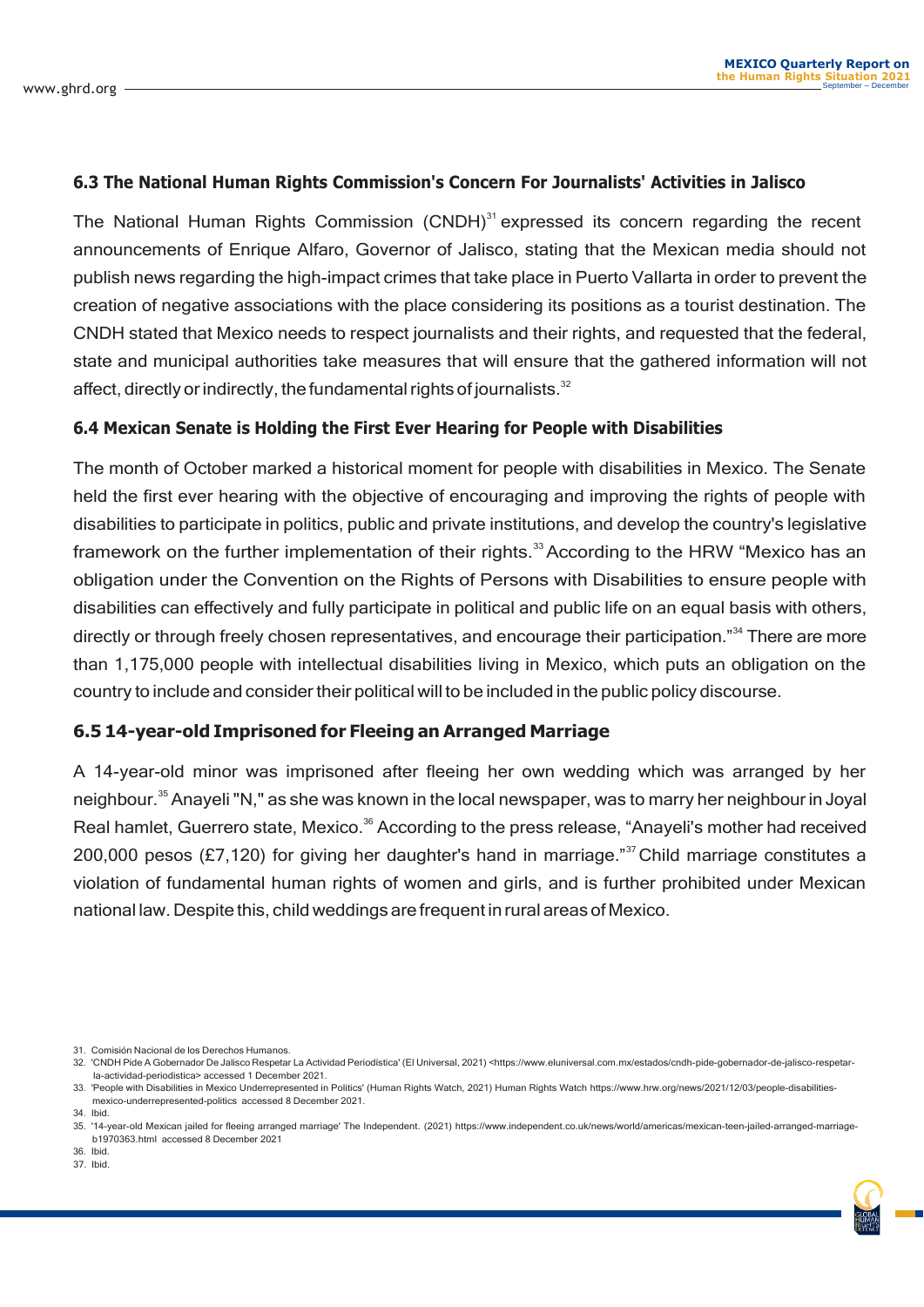#### **6.3 The National Human Rights Commission's Concern For Journalists' Activities in Jalisco**

The National Human Rights Commission  $(CNDH)^{31}$  expressed its concern regarding the recent announcements of Enrique Alfaro, Governor of Jalisco, stating that the Mexican media should not publish news regarding the high-impact crimes that take place in Puerto Vallarta in order to prevent the creation of negative associations with the place considering its positions as a tourist destination. The CNDH stated that Mexico needs to respect journalists and their rights, and requested that the federal, state and municipal authorities take measures that will ensure that the gathered information will not affect, directly or indirectly, the fundamental rights of journalists. $32$ 

#### **6.4 Mexican Senate is Holding the First Ever Hearing for People with Disabilities**

The month of October marked a historical moment for people with disabilities in Mexico. The Senate held the first ever hearing with the objective of encouraging and improving the rights of people with disabilities to participate in politics, public and private institutions, and develop the country's legislative framework on the further implementation of their rights.<sup>33</sup> According to the HRW "Mexico has an obligation under the Convention on the Rights of Persons with Disabilities to ensure people with disabilities can effectively and fully participate in political and public life on an equal basis with others, directly or through freely chosen representatives, and encourage their participation."<sup>34</sup> There are more than 1,175,000 people with intellectual disabilities living in Mexico, which puts an obligation on the country to include and consider their political will to be included in the public policy discourse.

#### **6.5 14-year-old Imprisoned for Fleeing an Arranged Marriage**

A 14-year-old minor was imprisoned after fleeing her own wedding which was arranged by her neighbour.<sup>35</sup> Anayeli "N," as she was known in the local newspaper, was to marry her neighbour in Joyal Real hamlet, Guerrero state, Mexico.<sup>36</sup> According to the press release, "Anayeli's mother had received 200,000 pesos (£7,120) for giving her daughter's hand in marriage."<sup>37</sup> Child marriage constitutes a violation of fundamental human rights of women and girls, and is further prohibited under Mexican national law. Despite this, child weddings are frequent inrural areas ofMexico.

31. Comisión Nacional de los Derechos Humanos.

37. Ibid. 36. Ibid.



<sup>32.</sup> 'CNDH Pide A Gobernador De Jalisco Respetar La Actividad Periodística' (El Universal, 2021) [<https://www.eluniversal.com.mx/estados/cndh-pide-gobernador-de-jalisco-re](http://www.eluniversal.com.mx/estados/cndh-pide-gobernador-de-jalisco-respetar-)spetarla-actividad-periodistica> accessed 1 December 2021.

<sup>33.</sup> 'People with Disabilities in Mexico Underrepresented in Politics' (Human Rights Watch, 2021) Human Rights Watch [https://www.h](http://www.hrw.org/news/2021/12/03/people-disabilities-)rw.[org/news/2021/12/03/people-disabilities](http://www.hrw.org/news/2021/12/03/people-disabilities-)mexico-underrepresented-politics accessed 8 December 2021.

<sup>34.</sup> Ibid.

<sup>35.</sup> '14-year-old Mexican jailed for fleeing arranged marriage' The Independent. (2021) [https://www.independent.co.uk/news/world/americas/mexican-teen-jailed-arranged-marriage](http://www.independent.co.uk/news/world/americas/mexican-teen-jailed-arranged-marriage-)b1970363.html accessed 8 December 2021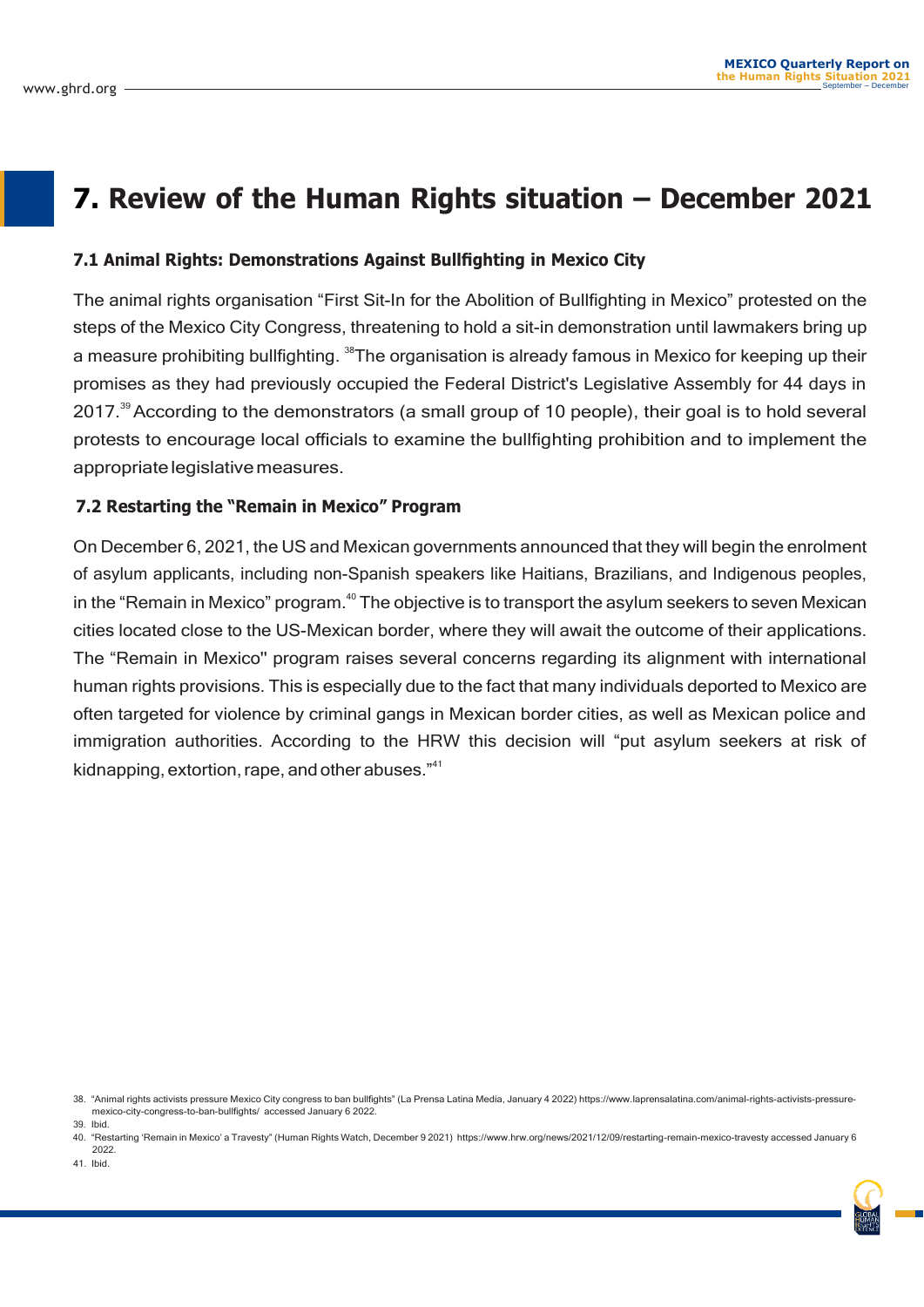### **7. Review of the Human Rights situation – December 2021**

#### **7.1 Animal Rights: Demonstrations Against Bullfighting in Mexico City**

The animal rights organisation "First Sit-In for the Abolition of Bullfighting in Mexico" protested on the steps of the Mexico City Congress, threatening to hold a sit-in demonstration until lawmakers bring up a measure prohibiting bullfighting. <sup>38</sup>The organisation is already famous in Mexico for keeping up their promises as they had previously occupied the Federal District's Legislative Assembly for 44 days in 2017.<sup>39</sup> According to the demonstrators (a small group of 10 people), their goal is to hold several protests to encourage local officials to examine the bullfighting prohibition and to implement the appropriatelegislativemeasures.

#### **7.2 Restarting the "Remain in Mexico" Program**

On December 6, 2021, the US and Mexican governments announced that they will begin the enrolment of asylum applicants, including non-Spanish speakers like Haitians, Brazilians, and Indigenous peoples, in the "Remain in Mexico" program. $40$  The objective is to transport the asylum seekers to seven Mexican cities located close to the US-Mexican border, where they will await the outcome of their applications. The "Remain in Mexico'' program raises several concerns regarding its alignment with international human rights provisions. This is especially due to the fact that many individuals deported to Mexico are often targeted for violence by criminal gangs in Mexican border cities, as well as Mexican police and immigration authorities. According to the HRW this decision will "put asylum seekers at risk of kidnapping, extortion, rape, and other abuses."<sup>41</sup>

<sup>38.</sup> "Animal rights activists pressure Mexico City congress to ban bullfights" (La Prensa Latina Media, January 4 2022) [https://www.l](http://www.laprensalatina.com/animal-rights-activists-pressure-)a[prensalatina.com/animal-rights-activists-pressure](http://www.laprensalatina.com/animal-rights-activists-pressure-)mexico-city-congress-to-ban-bullfights/ accessed January 6 2022. 39. Ibid.

<sup>40.</sup> "Restarting 'Remain in Mexico' a Travesty" (Human Rights Watch, December 9 2021) [https://www.](http://www.hrw.org/news/2021/12/09/restarting-remain-mexico-travesty)hrw.[org/news/2021/12/09/restarting-remain-mexico-travesty](http://www.hrw.org/news/2021/12/09/restarting-remain-mexico-travesty) accessed January 6 2022.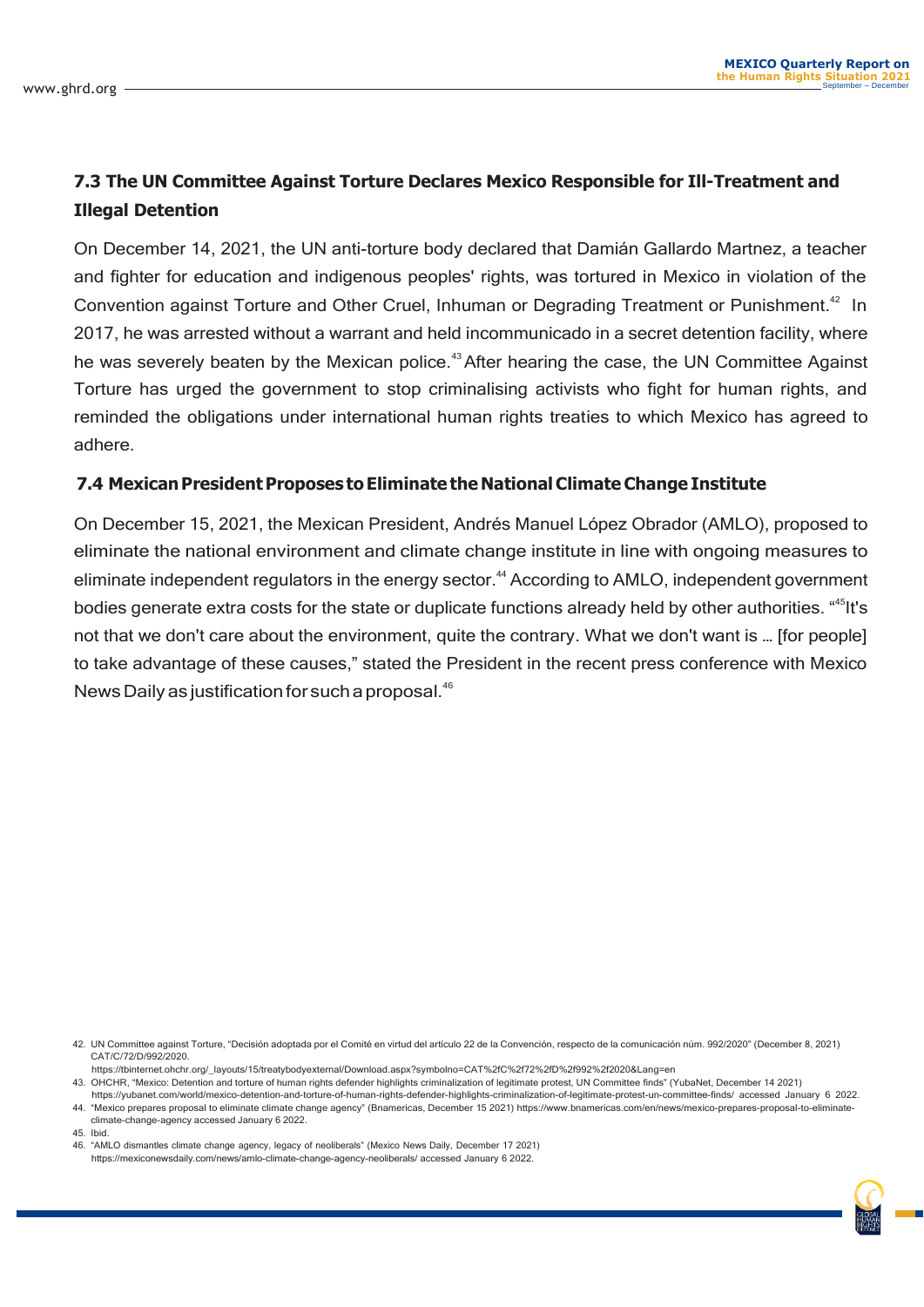#### **7.3 The UN Committee Against Torture Declares Mexico Responsible for Ill-Treatment and Illegal Detention**

On December 14, 2021, the UN anti-torture body declared that Damián Gallardo Martnez, a teacher and fighter for education and indigenous peoples' rights, was tortured in Mexico in violation of the Convention against Torture and Other Cruel, Inhuman or Degrading Treatment or Punishment.<sup>42</sup> In 2017, he was arrested without a warrant and held incommunicado in a secret detention facility, where he was severely beaten by the Mexican police.<sup>43</sup> After hearing the case, the UN Committee Against Torture has urged the government to stop criminalising activists who fight for human rights, and reminded the obligations under international human rights treaties to which Mexico has agreed to adhere.

#### **7.4 MexicanPresidentProposes to Eliminate the NationalClimateChange Institute**

On December 15, 2021, the Mexican President, Andrés Manuel López Obrador (AMLO), proposed to eliminate the national environment and climate change institute in line with ongoing measures to eliminate independent regulators in the energy sector.<sup>44</sup> According to AMLO, independent government bodies generate extra costs for the state or duplicate functions already held by other authorities. "<sup>45</sup>lt's not that we don't care about the environment, quite the contrary. What we don't want is … [for people] to take advantage of these causes," stated the President in the recent press conference with Mexico News Daily as justification for such a proposal.<sup>46</sup>

climate-change-agency accessed January 6 2022.

45. Ibid.

46. "AMLO dismantles climate change agency, legacy of neoliberals" (Mexico News Daily, December 17 2021) https://mexiconewsdaily.com/news/amlo-climate-change-agency-neoliberals/ accessed January 6 2022.

<sup>42.</sup> UN Committee against Torture, "Decisión adoptada por el Comité en virtud del artículo 22 de la Convención, respecto de la comunicación núm. 992/2020" (December 8, 2021) CAT/C/72/D/992/2020.

https://tbinternet.ohchr.org/\_layouts/15/treatybodyexternal/Download.aspx?symbolno=CAT%2fC%2f72%2fD%2f992%2f2020&Lang=en

<sup>43.</sup> OHCHR, "Mexico: Detention and torture of human rights defender highlights criminalization of legitimate protest, UN Committee finds" (YubaNet, December 14 2021)

https://yubanet.com/world/mexico-detention-and-torture-of-human-rights-defender-highlights-criminalization-of-legitimate-protest-un-committee-finds/ accessed January 6 2022. 44. "Mexico prepares proposal to eliminate climate change agency" (Bnamericas, December 15 2021) [https://www.bnamericas.com/en/new](http://www.bnamericas.com/en/news/mexico-prepares-proposal-to-eliminate-)s/m[exico-prepares-proposal-to-eliminate-](http://www.bnamericas.com/en/news/mexico-prepares-proposal-to-eliminate-)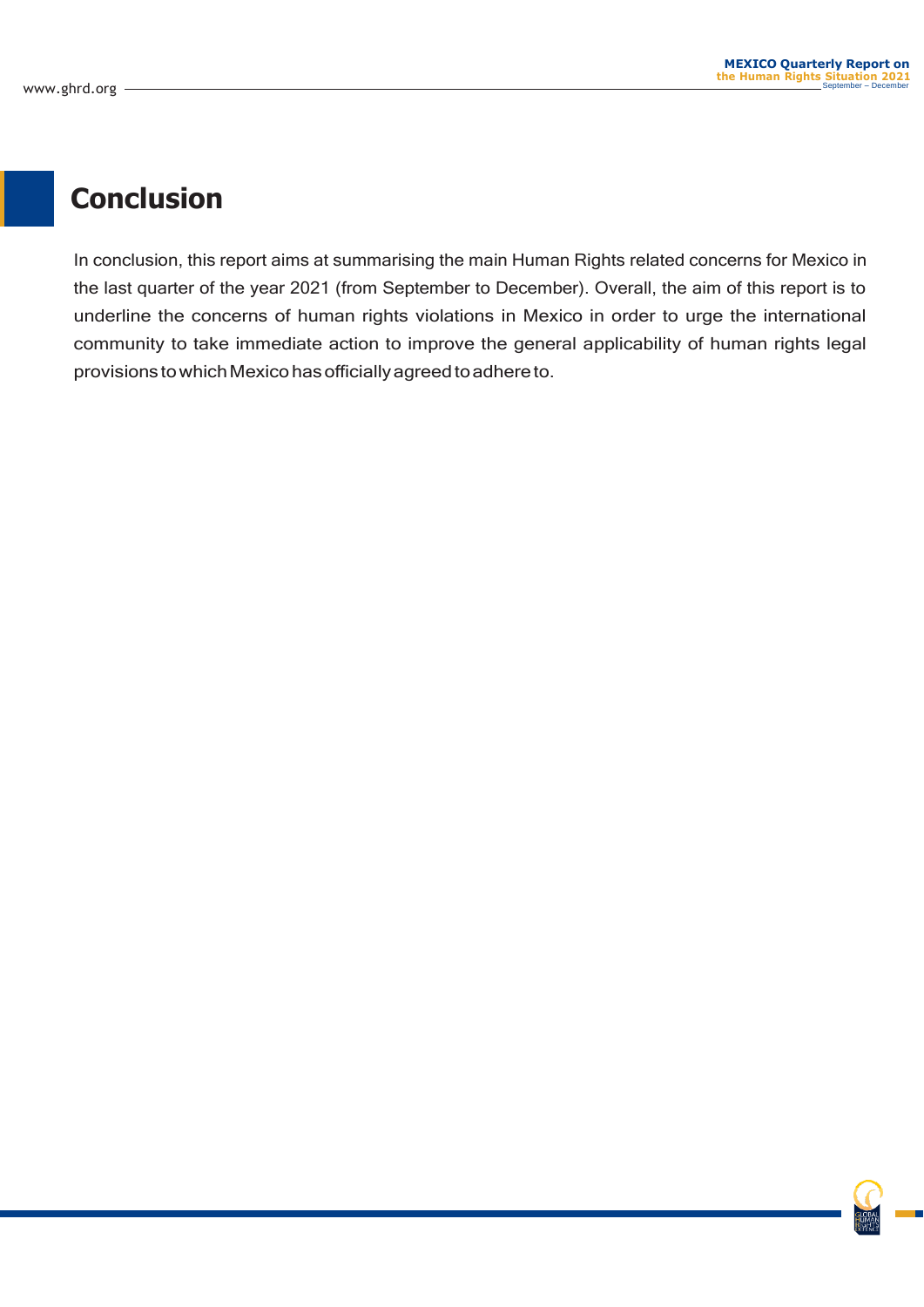### **Conclusion**

In conclusion, this report aims at summarising the main Human Rights related concerns for Mexico in the last quarter of the year 2021 (from September to December). Overall, the aim of this report is to underline the concerns of human rights violations in Mexico in order to urge the international community to take immediate action to improve the general applicability of human rights legal provisions to which Mexico has officially agreed to adhere to.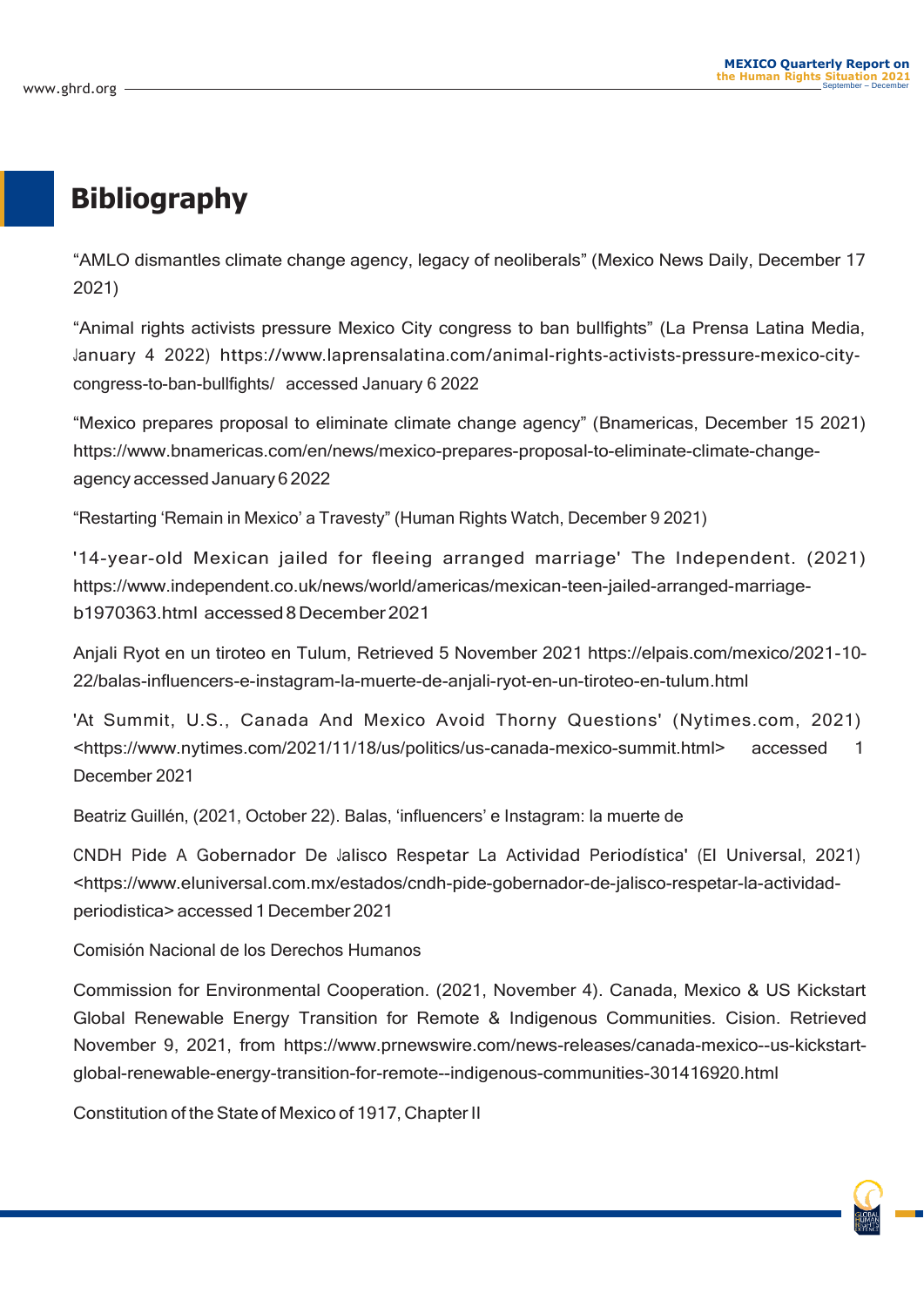### **Bibliography**

"AMLO dismantles climate change agency, legacy of neoliberals" (Mexico News Daily, December 17 2021)

"Animal rights activists pressure Mexico City congress to ban bullfights" (La Prensa Latina Media, January 4 2022) https:/[/www.laprensalatina.com/animal-rights-activists-pressure-mexico-city](http://www.laprensalatina.com/animal-rights-activists-pressure-mexico-city-)congress-to-ban-bullfights/ accessed January 6 2022

"Mexico prepares proposal to eliminate climate change agency" (Bnamericas, December 15 2021) https:/[/www.bnamericas.com/en/news/mexico-prepares-proposal-to-eliminate-climate-change](http://www.bnamericas.com/en/news/mexico-prepares-proposal-to-eliminate-climate-change-)agency accessed January 62022

"Restarting 'Remain in Mexico' a Travesty" (Human Rights Watch, December 9 2021)

'14-year-old Mexican jailed for fleeing arranged marriage' The Independent. (2021) https:/[/www.independent.co.uk/news/world/americas/mexican-teen-jailed-arranged-marriage](http://www.independent.co.uk/news/world/americas/mexican-teen-jailed-arranged-marriage-)b1970363.html accessed8December2021

Anjali Ryot en un tiroteo en Tulum, Retrieved 5 November 2021 https://elpais.com/mexico/2021-10- 22/balas-influencers-e-instagram-la-muerte-de-anjali-ryot-en-un-tiroteo-en-tulum.html

'At Summit, U.S., Canada And Mexico Avoid Thorny Questions' (Nytimes.com, 2021) <https:/[/www.nytimes.com/2021/11/18/us/politics/us-canada-mexico-summit.html>](http://www.nytimes.com/2021/11/18/us/politics/us-canada-mexico-summit.html) accessed 1 December 2021

Beatriz Guillén, (2021, October 22). Balas, 'influencers' e Instagram: la muerte de

CNDH Pide A Gobernador De Jalisco Respetar La Actividad Periodística' (El Universal, 2021) <https:/[/www.eluniversal.com.mx/estados/cndh-pide-gobernador-de-jalisco-respetar-la-actividad](http://www.eluniversal.com.mx/estados/cndh-pide-gobernador-de-jalisco-respetar-la-actividad-)periodistica>accessed 1December 2021

Comisión Nacional de los Derechos Humanos

Commission for Environmental Cooperation. (2021, November 4). Canada, Mexico & US Kickstart Global Renewable Energy Transition for Remote & Indigenous Communities. Cision. Retrieved November 9, 2021, from [https://www.](http://www.prnewswire.com/news-releases/canada-mexico--us-kickstart-)prn[ewswire.com/news-releases/canada-mexico--us-kickstart](http://www.prnewswire.com/news-releases/canada-mexico--us-kickstart-)global-renewable-energy-transition-for-remote--indigenous-communities-301416920.html

Constitution of the State of Mexico of 1917, Chapter II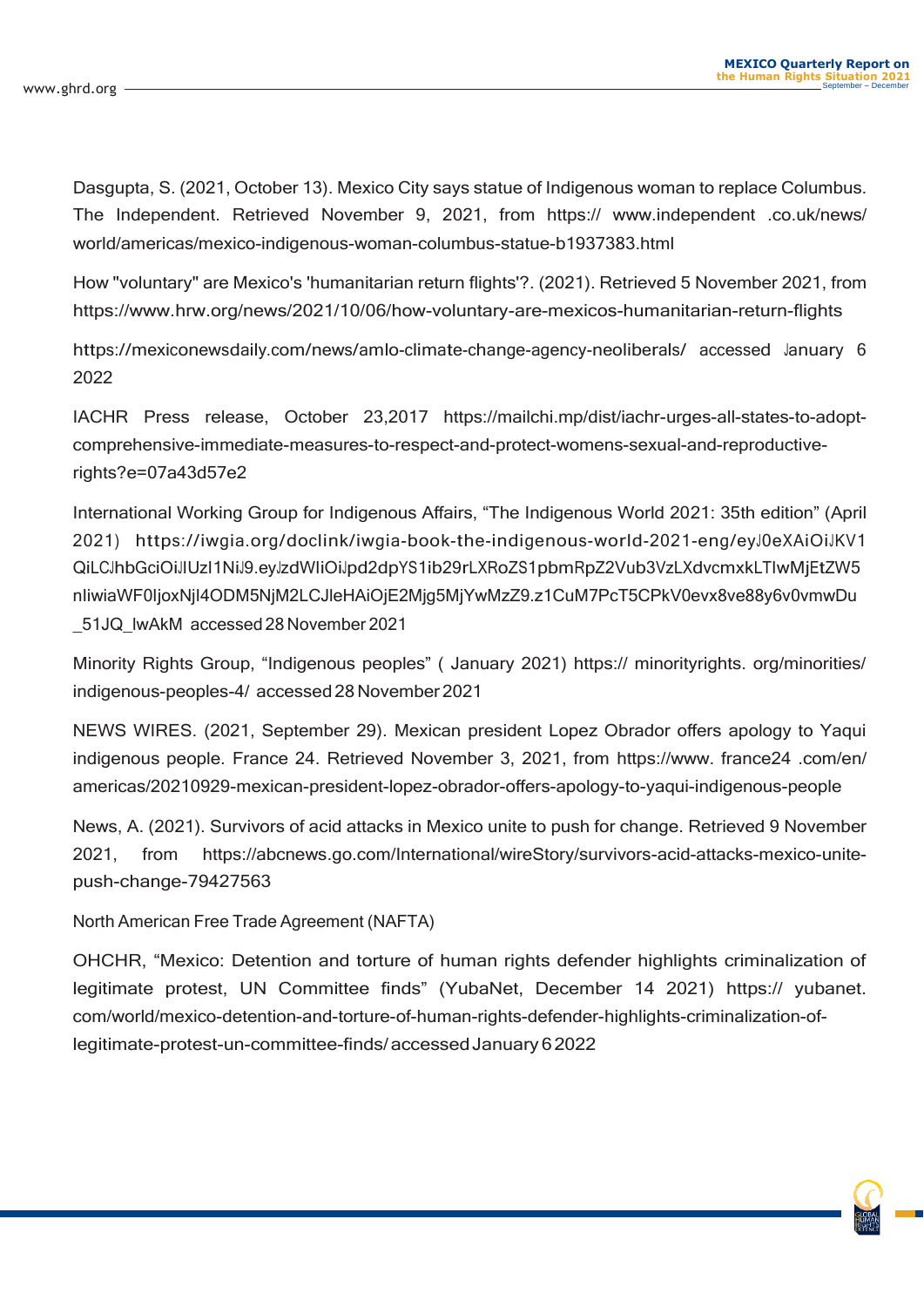Dasgupta, S. (2021, October 13). Mexico City says statue of Indigenous woman to replace Columbus. The Independent. Retrieved November 9, 2021, from https:// www.independent .co.uk/news/ world/americas/mexico-indigenous-woman-columbus-statue-b1937383.html

How "voluntary" are Mexico's 'humanitarian return flights'?. (2021). Retrieved 5 November 2021, from [https://www.](http://www.hrw.org/news/2021/10/06/how-voluntary-are-mexicos-humanitarian-return-ﬂights)hrw.o[rg/news/2021/10/06/how-voluntary-are-mexicos-humanitarian-return-](http://www.hrw.org/news/2021/10/06/how-voluntary-are-mexicos-humanitarian-return-ﬂights)flights

https://mexiconewsdaily.com/news/amlo-climate-change-agency-neoliberals/ accessed January 6 2022

IACHR Press release, October 23,2017 https://mailchi.mp/dist/iachr-urges-all-states-to-adoptcomprehensive-immediate-measures-to-respect-and-protect-womens-sexual-and-reproductiverights?e=07a43d57e2

International Working Group for Indigenous Affairs, "The Indigenous World 2021: 35th edition" (April 2021) https://iwgia.org/doclink/iwgia-book-the-indigenous-world-2021-eng/eyJ0eXAiOiJKV1 QiLCJhbGciOiJIUzI1NiJ9.eyJzdWIiOiJpd2dpYS1ib29rLXRoZS1pbmRpZ2Vub3VzLXdvcmxkLTIwMjEtZW5 nIiwiaWF0IjoxNjI4ODM5NjM2LCJleHAiOjE2Mjg5MjYwMzZ9.z1CuM7PcT5CPkV0evx8ve88y6v0vmwDu \_51JQ\_lwAkM accessed 28 November 2021

Minority Rights Group, "Indigenous peoples" ( January 2021) https:// minorityrights. org/minorities/ indigenous-peoples-4/ accessed 28November 2021

NEWS WIRES. (2021, September 29). Mexican president Lopez Obrador offers apology to Yaqui indigenous people. France 24. Retrieved November 3, 2021, from [https://www.](http://www/) france24 .com/en/ americas/20210929-mexican-president-lopez-obrador-offers-apology-to-yaqui-indigenous-people

News, A. (2021). Survivors of acid attacks in Mexico unite to push for change. Retrieved 9 November 2021, from https://abcnews.go.com/International/wireStory/survivors-acid-attacks-mexico-unitepush-change-79427563

North American Free Trade Agreement (NAFTA)

OHCHR, "Mexico: Detention and torture of human rights defender highlights criminalization of legitimate protest, UN Committee finds" (YubaNet, December 14 2021) https:// yubanet. com/world/mexico-detention-and-torture-of-human-rights-defender-highlights-criminalization-oflegitimate-protest-un-committee-finds/accessedJanuary62022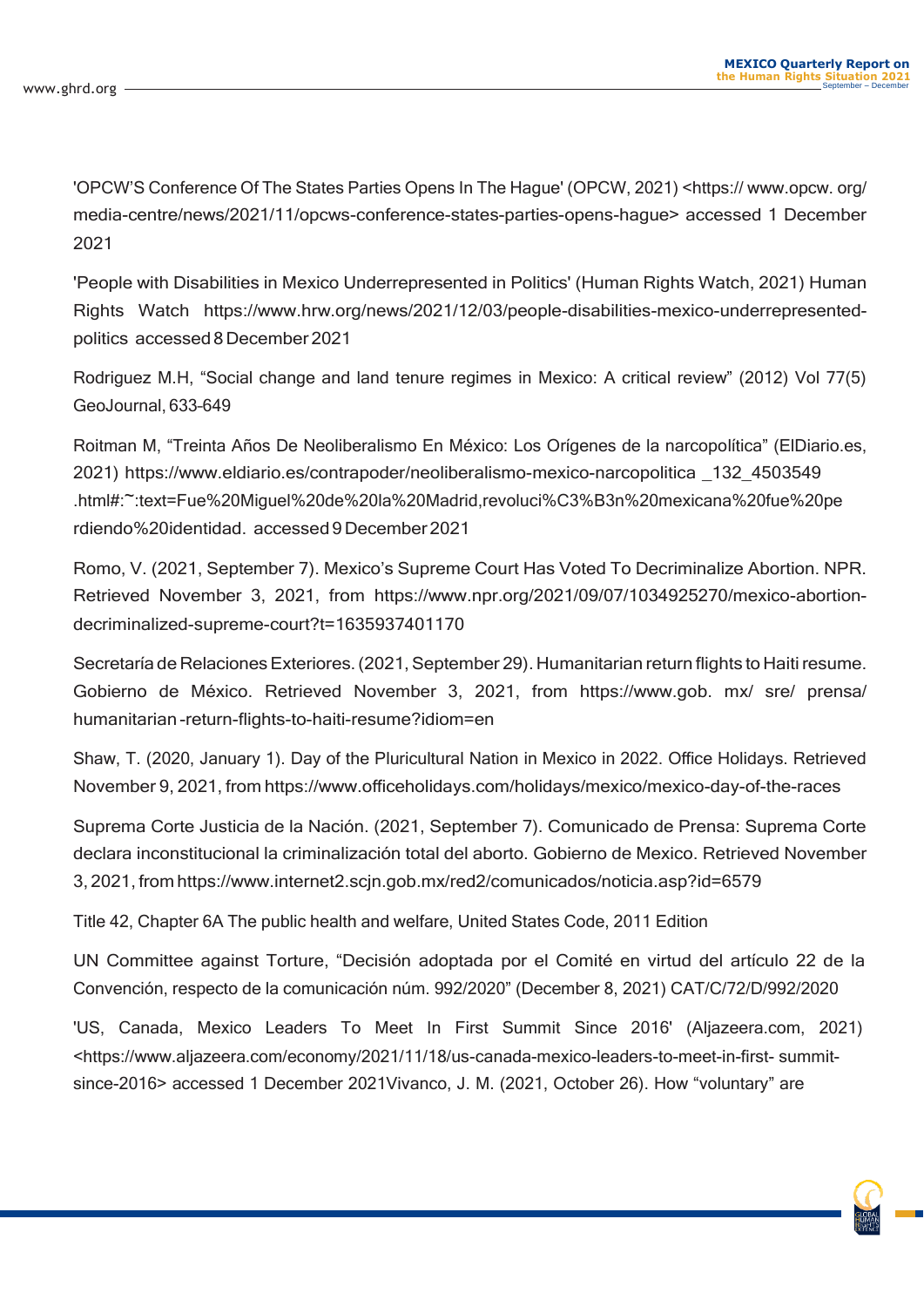'OPCW'S Conference Of The States Parties Opens In The Hague' (OPCW, 2021) <https:// www.opcw. org/ media-centre/news/2021/11/opcws-conference-states-parties-opens-hague> accessed 1 December 2021

'People with Disabilities in Mexico Underrepresented in Politics' (Human Rights Watch, 2021) Human Rights Watch [https://www.](http://www.hrw.org/news/2021/12/03/people-disabilities-mexico-underrepresented-)hrw.o[rg/news/2021/12/03/people-disabilities-mexico-underrepresented](http://www.hrw.org/news/2021/12/03/people-disabilities-mexico-underrepresented-)politics accessed 8December 2021

Rodriguez M.H, "Social change and land tenure regimes in Mexico: A critical review" (2012) Vol 77(5) GeoJournal, 633–649

Roitman M, "Treinta Años De Neoliberalismo En México: Los Orígenes de la narcopolítica" (ElDiario.es, 2021) https:/[/www.eldiario.es/contrapoder/neoliberalismo-mexico-narcopolitica](http://www.eldiario.es/contrapoder/neoliberalismo-mexico-narcopolitica) \_132\_4503549 .html#:~:text=Fue%20Miguel%20de%20la%20Madrid,revoluci%C3%B3n%20mexicana%20fue%20pe rdiendo%20identidad. accessed 9December 2021

Romo, V. (2021, September 7). Mexico's Supreme Court Has Voted To Decriminalize Abortion. NPR. Retrieved November 3, 2021, from [https://www.](http://www.npr.org/2021/09/07/1034925270/mexico-abortion-)npr.o[rg/2021/09/07/1034925270/mexico-abortion](http://www.npr.org/2021/09/07/1034925270/mexico-abortion-)decriminalized-supreme-court?t=1635937401170

Secretaría de Relaciones Exteriores. (2021, September 29). Humanitarian return flights to Haiti resume. Gobierno de México. Retrieved November 3, 2021, from https://www.gob. mx/ sre/ prensa/ humanitarian -return-flights-to-haiti-resume?idiom=en

Shaw, T. (2020, January 1). Day of the Pluricultural Nation in Mexico in 2022. Office Holidays. Retrieved November 9, 2021, from https://www.officeholidays.com/holidays/mexico/mexico-day-of-the-races

Suprema Corte Justicia de la Nación. (2021, September 7). Comunicado de Prensa: Suprema Corte declara inconstitucional la criminalización total del aborto. Gobierno de Mexico. Retrieved November 3, 2021, from [https://www.internet2.scjn.gob.mx/red2/comunicados/noticia.asp?id=6579](http://www.internet2.scjn.gob.mx/red2/comunicados/noticia.asp?id=6579)

Title 42, Chapter 6A The public health and welfare, United States Code, 2011 Edition

UN Committee against Torture, "Decisión adoptada por el Comité en virtud del artículo 22 de la Convención, respecto de la comunicación núm. 992/2020" (December 8, 2021) CAT/C/72/D/992/2020

'US, Canada, Mexico Leaders To Meet In First Summit Since 2016' (Aljazeera.com, 2021) <https:/[/www.aljazeera.com/economy/2021/11/18/us-canada-mexico-leaders-to-meet-in-](http://www.aljazeera.com/economy/2021/11/18/us-canada-mexico-leaders-to-meet-in-ﬁrst-)first- summitsince-2016> accessed 1 December 2021Vivanco, J. M. (2021, October 26). How "voluntary" are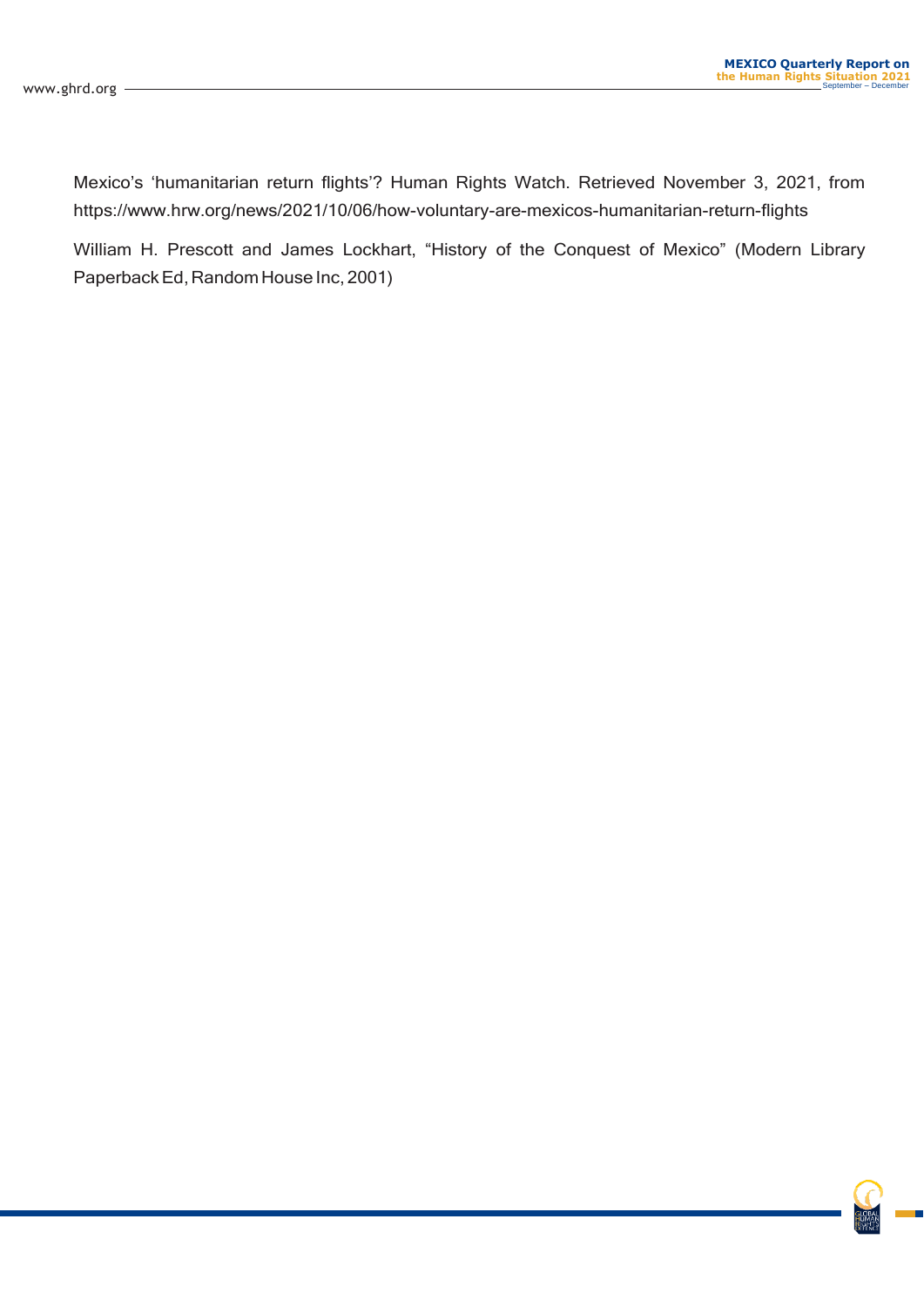Mexico's 'humanitarian return flights'? Human Rights Watch. Retrieved November 3, 2021, from [https://www.](http://www.hrw.org/news/2021/10/06/how-voluntary-are-mexicos-humanitarian-return-ﬂights)hrw.o[rg/news/2021/10/06/how-voluntary-are-mexicos-humanitarian-return-](http://www.hrw.org/news/2021/10/06/how-voluntary-are-mexicos-humanitarian-return-ﬂights)flights

William H. Prescott and James Lockhart, "History of the Conquest of Mexico" (Modern Library Paperback Ed, Random House Inc, 2001)